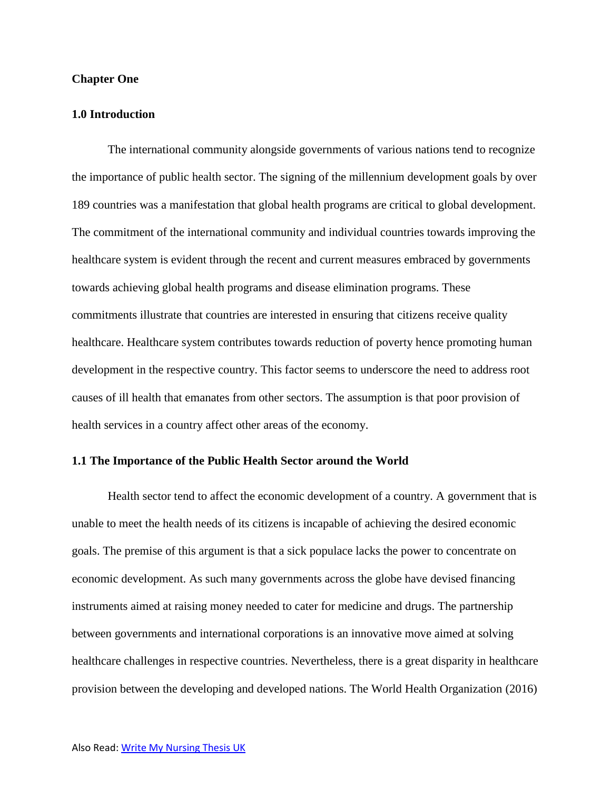#### **Chapter One**

## **1.0 Introduction**

The international community alongside governments of various nations tend to recognize the importance of public health sector. The signing of the millennium development goals by over 189 countries was a manifestation that global health programs are critical to global development. The commitment of the international community and individual countries towards improving the healthcare system is evident through the recent and current measures embraced by governments towards achieving global health programs and disease elimination programs. These commitments illustrate that countries are interested in ensuring that citizens receive quality healthcare. Healthcare system contributes towards reduction of poverty hence promoting human development in the respective country. This factor seems to underscore the need to address root causes of ill health that emanates from other sectors. The assumption is that poor provision of health services in a country affect other areas of the economy.

## **1.1 The Importance of the Public Health Sector around the World**

Health sector tend to affect the economic development of a country. A government that is unable to meet the health needs of its citizens is incapable of achieving the desired economic goals. The premise of this argument is that a sick populace lacks the power to concentrate on economic development. As such many governments across the globe have devised financing instruments aimed at raising money needed to cater for medicine and drugs. The partnership between governments and international corporations is an innovative move aimed at solving healthcare challenges in respective countries. Nevertheless, there is a great disparity in healthcare provision between the developing and developed nations. The World Health Organization (2016)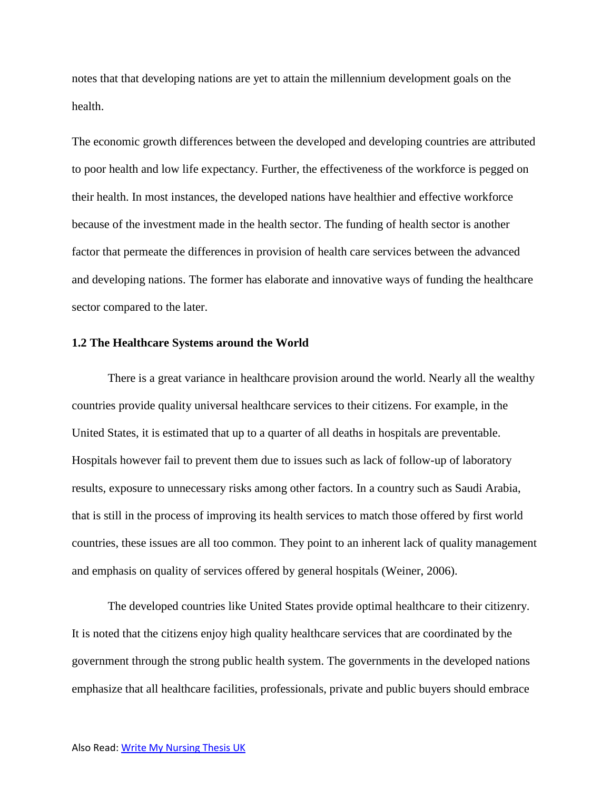notes that that developing nations are yet to attain the millennium development goals on the health.

The economic growth differences between the developed and developing countries are attributed to poor health and low life expectancy. Further, the effectiveness of the workforce is pegged on their health. In most instances, the developed nations have healthier and effective workforce because of the investment made in the health sector. The funding of health sector is another factor that permeate the differences in provision of health care services between the advanced and developing nations. The former has elaborate and innovative ways of funding the healthcare sector compared to the later.

## **1.2 The Healthcare Systems around the World**

There is a great variance in healthcare provision around the world. Nearly all the wealthy countries provide quality universal healthcare services to their citizens. For example, in the United States, it is estimated that up to a quarter of all deaths in hospitals are preventable. Hospitals however fail to prevent them due to issues such as lack of follow-up of laboratory results, exposure to unnecessary risks among other factors. In a country such as Saudi Arabia, that is still in the process of improving its health services to match those offered by first world countries, these issues are all too common. They point to an inherent lack of quality management and emphasis on quality of services offered by general hospitals (Weiner, 2006).

The developed countries like United States provide optimal healthcare to their citizenry. It is noted that the citizens enjoy high quality healthcare services that are coordinated by the government through the strong public health system. The governments in the developed nations emphasize that all healthcare facilities, professionals, private and public buyers should embrace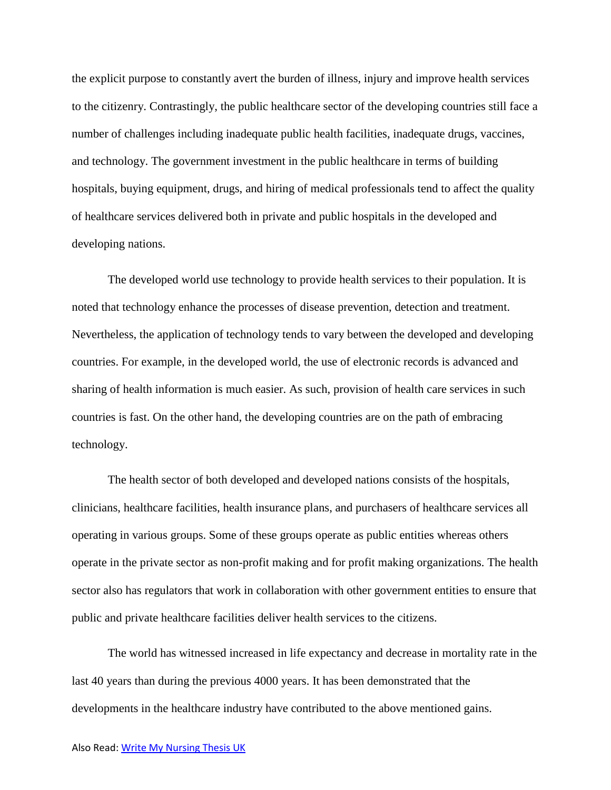the explicit purpose to constantly avert the burden of illness, injury and improve health services to the citizenry. Contrastingly, the public healthcare sector of the developing countries still face a number of challenges including inadequate public health facilities, inadequate drugs, vaccines, and technology. The government investment in the public healthcare in terms of building hospitals, buying equipment, drugs, and hiring of medical professionals tend to affect the quality of healthcare services delivered both in private and public hospitals in the developed and developing nations.

The developed world use technology to provide health services to their population. It is noted that technology enhance the processes of disease prevention, detection and treatment. Nevertheless, the application of technology tends to vary between the developed and developing countries. For example, in the developed world, the use of electronic records is advanced and sharing of health information is much easier. As such, provision of health care services in such countries is fast. On the other hand, the developing countries are on the path of embracing technology.

The health sector of both developed and developed nations consists of the hospitals, clinicians, healthcare facilities, health insurance plans, and purchasers of healthcare services all operating in various groups. Some of these groups operate as public entities whereas others operate in the private sector as non-profit making and for profit making organizations. The health sector also has regulators that work in collaboration with other government entities to ensure that public and private healthcare facilities deliver health services to the citizens.

The world has witnessed increased in life expectancy and decrease in mortality rate in the last 40 years than during the previous 4000 years. It has been demonstrated that the developments in the healthcare industry have contributed to the above mentioned gains.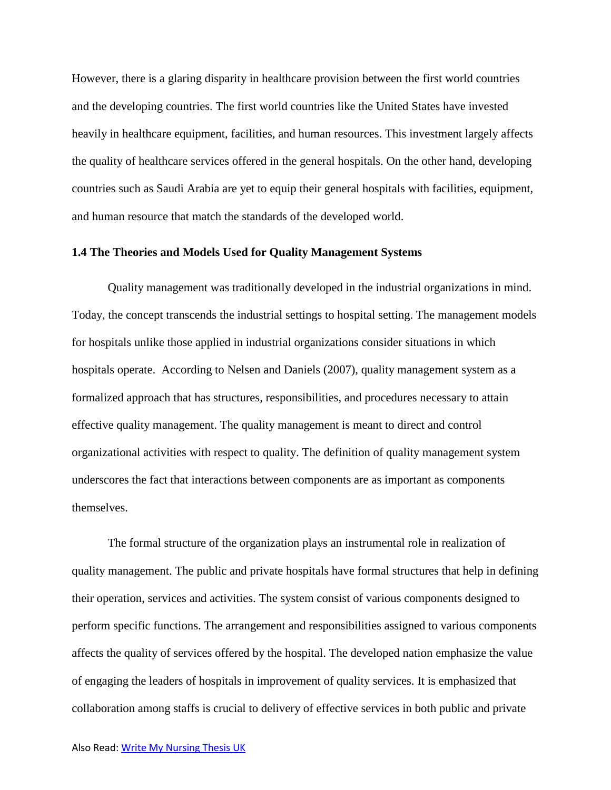However, there is a glaring disparity in healthcare provision between the first world countries and the developing countries. The first world countries like the United States have invested heavily in healthcare equipment, facilities, and human resources. This investment largely affects the quality of healthcare services offered in the general hospitals. On the other hand, developing countries such as Saudi Arabia are yet to equip their general hospitals with facilities, equipment, and human resource that match the standards of the developed world.

## **1.4 The Theories and Models Used for Quality Management Systems**

Quality management was traditionally developed in the industrial organizations in mind. Today, the concept transcends the industrial settings to hospital setting. The management models for hospitals unlike those applied in industrial organizations consider situations in which hospitals operate. According to Nelsen and Daniels (2007), quality management system as a formalized approach that has structures, responsibilities, and procedures necessary to attain effective quality management. The quality management is meant to direct and control organizational activities with respect to quality. The definition of quality management system underscores the fact that interactions between components are as important as components themselves.

The formal structure of the organization plays an instrumental role in realization of quality management. The public and private hospitals have formal structures that help in defining their operation, services and activities. The system consist of various components designed to perform specific functions. The arrangement and responsibilities assigned to various components affects the quality of services offered by the hospital. The developed nation emphasize the value of engaging the leaders of hospitals in improvement of quality services. It is emphasized that collaboration among staffs is crucial to delivery of effective services in both public and private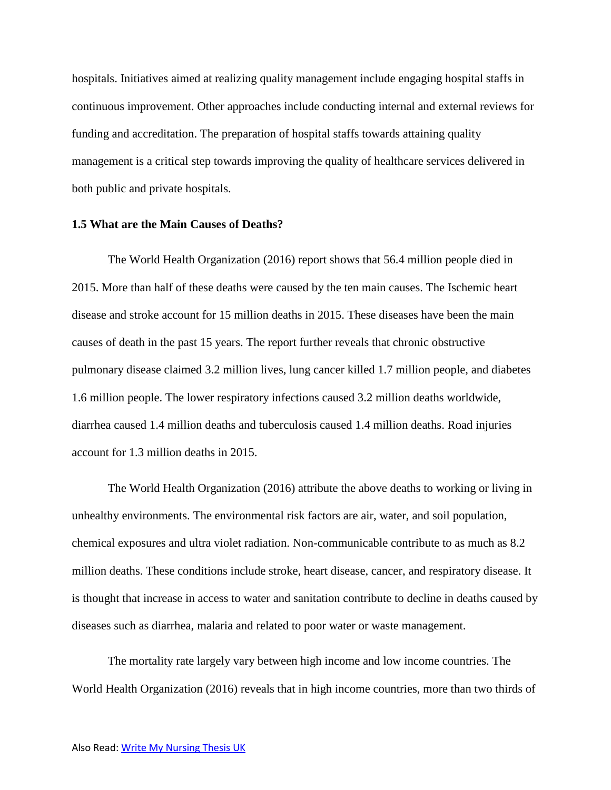hospitals. Initiatives aimed at realizing quality management include engaging hospital staffs in continuous improvement. Other approaches include conducting internal and external reviews for funding and accreditation. The preparation of hospital staffs towards attaining quality management is a critical step towards improving the quality of healthcare services delivered in both public and private hospitals.

#### **1.5 What are the Main Causes of Deaths?**

The World Health Organization (2016) report shows that 56.4 million people died in 2015. More than half of these deaths were caused by the ten main causes. The Ischemic heart disease and stroke account for 15 million deaths in 2015. These diseases have been the main causes of death in the past 15 years. The report further reveals that chronic obstructive pulmonary disease claimed 3.2 million lives, lung cancer killed 1.7 million people, and diabetes 1.6 million people. The lower respiratory infections caused 3.2 million deaths worldwide, diarrhea caused 1.4 million deaths and tuberculosis caused 1.4 million deaths. Road injuries account for 1.3 million deaths in 2015.

The World Health Organization (2016) attribute the above deaths to working or living in unhealthy environments. The environmental risk factors are air, water, and soil population, chemical exposures and ultra violet radiation. Non-communicable contribute to as much as 8.2 million deaths. These conditions include stroke, heart disease, cancer, and respiratory disease. It is thought that increase in access to water and sanitation contribute to decline in deaths caused by diseases such as diarrhea, malaria and related to poor water or waste management.

The mortality rate largely vary between high income and low income countries. The World Health Organization (2016) reveals that in high income countries, more than two thirds of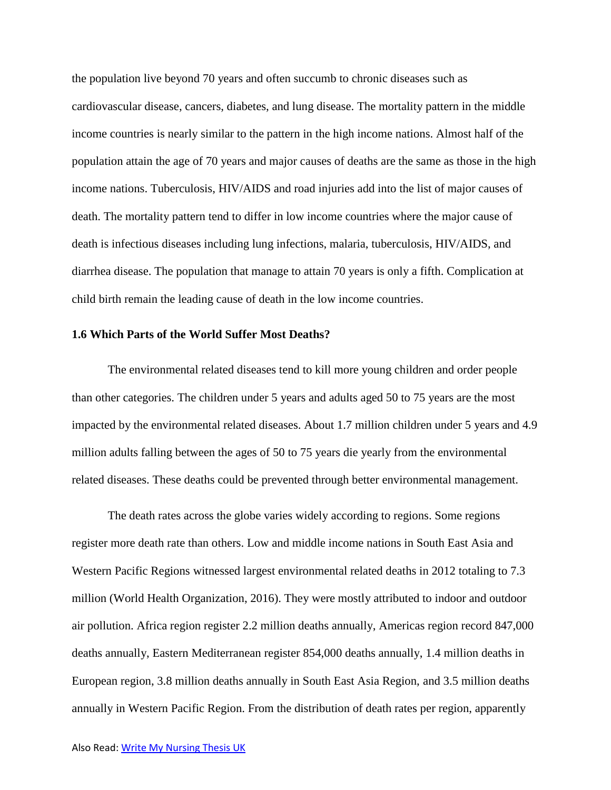the population live beyond 70 years and often succumb to chronic diseases such as cardiovascular disease, cancers, diabetes, and lung disease. The mortality pattern in the middle income countries is nearly similar to the pattern in the high income nations. Almost half of the population attain the age of 70 years and major causes of deaths are the same as those in the high income nations. Tuberculosis, HIV/AIDS and road injuries add into the list of major causes of death. The mortality pattern tend to differ in low income countries where the major cause of death is infectious diseases including lung infections, malaria, tuberculosis, HIV/AIDS, and diarrhea disease. The population that manage to attain 70 years is only a fifth. Complication at child birth remain the leading cause of death in the low income countries.

#### **1.6 Which Parts of the World Suffer Most Deaths?**

The environmental related diseases tend to kill more young children and order people than other categories. The children under 5 years and adults aged 50 to 75 years are the most impacted by the environmental related diseases. About 1.7 million children under 5 years and 4.9 million adults falling between the ages of 50 to 75 years die yearly from the environmental related diseases. These deaths could be prevented through better environmental management.

The death rates across the globe varies widely according to regions. Some regions register more death rate than others. Low and middle income nations in South East Asia and Western Pacific Regions witnessed largest environmental related deaths in 2012 totaling to 7.3 million (World Health Organization, 2016). They were mostly attributed to indoor and outdoor air pollution. Africa region register 2.2 million deaths annually, Americas region record 847,000 deaths annually, Eastern Mediterranean register 854,000 deaths annually, 1.4 million deaths in European region, 3.8 million deaths annually in South East Asia Region, and 3.5 million deaths annually in Western Pacific Region. From the distribution of death rates per region, apparently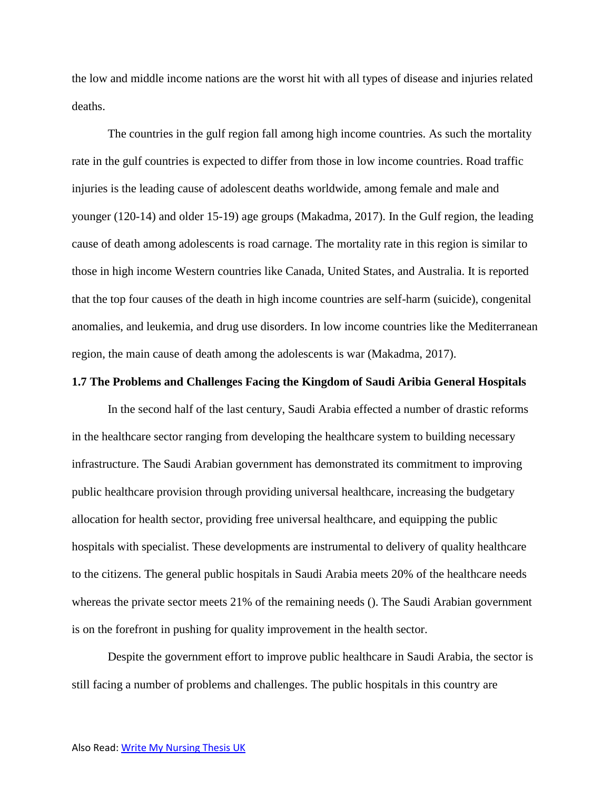the low and middle income nations are the worst hit with all types of disease and injuries related deaths.

The countries in the gulf region fall among high income countries. As such the mortality rate in the gulf countries is expected to differ from those in low income countries. Road traffic injuries is the leading cause of adolescent deaths worldwide, among female and male and younger (120-14) and older 15-19) age groups (Makadma, 2017). In the Gulf region, the leading cause of death among adolescents is road carnage. The mortality rate in this region is similar to those in high income Western countries like Canada, United States, and Australia. It is reported that the top four causes of the death in high income countries are self-harm (suicide), congenital anomalies, and leukemia, and drug use disorders. In low income countries like the Mediterranean region, the main cause of death among the adolescents is war (Makadma, 2017).

## **1.7 The Problems and Challenges Facing the Kingdom of Saudi Aribia General Hospitals**

In the second half of the last century, Saudi Arabia effected a number of drastic reforms in the healthcare sector ranging from developing the healthcare system to building necessary infrastructure. The Saudi Arabian government has demonstrated its commitment to improving public healthcare provision through providing universal healthcare, increasing the budgetary allocation for health sector, providing free universal healthcare, and equipping the public hospitals with specialist. These developments are instrumental to delivery of quality healthcare to the citizens. The general public hospitals in Saudi Arabia meets 20% of the healthcare needs whereas the private sector meets 21% of the remaining needs (). The Saudi Arabian government is on the forefront in pushing for quality improvement in the health sector.

Despite the government effort to improve public healthcare in Saudi Arabia, the sector is still facing a number of problems and challenges. The public hospitals in this country are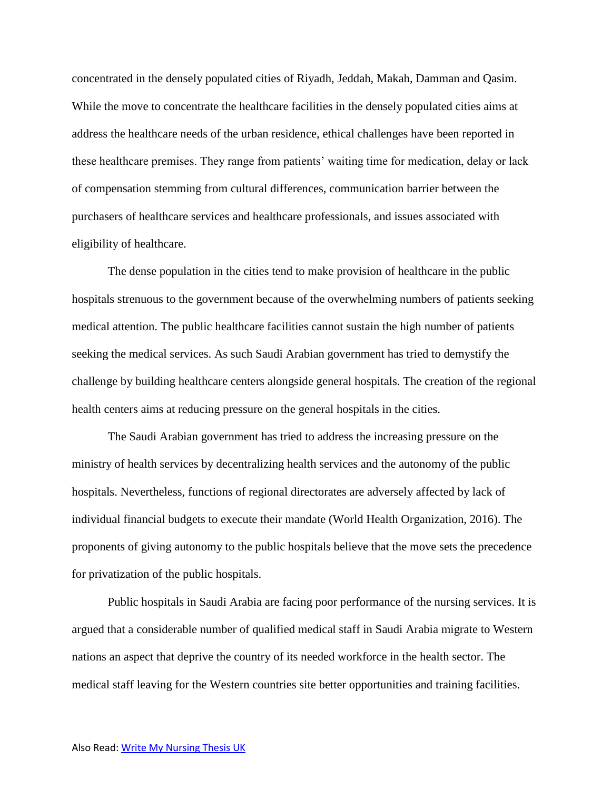concentrated in the densely populated cities of Riyadh, Jeddah, Makah, Damman and Qasim. While the move to concentrate the healthcare facilities in the densely populated cities aims at address the healthcare needs of the urban residence, ethical challenges have been reported in these healthcare premises. They range from patients' waiting time for medication, delay or lack of compensation stemming from cultural differences, communication barrier between the purchasers of healthcare services and healthcare professionals, and issues associated with eligibility of healthcare.

The dense population in the cities tend to make provision of healthcare in the public hospitals strenuous to the government because of the overwhelming numbers of patients seeking medical attention. The public healthcare facilities cannot sustain the high number of patients seeking the medical services. As such Saudi Arabian government has tried to demystify the challenge by building healthcare centers alongside general hospitals. The creation of the regional health centers aims at reducing pressure on the general hospitals in the cities.

The Saudi Arabian government has tried to address the increasing pressure on the ministry of health services by decentralizing health services and the autonomy of the public hospitals. Nevertheless, functions of regional directorates are adversely affected by lack of individual financial budgets to execute their mandate (World Health Organization, 2016). The proponents of giving autonomy to the public hospitals believe that the move sets the precedence for privatization of the public hospitals.

Public hospitals in Saudi Arabia are facing poor performance of the nursing services. It is argued that a considerable number of qualified medical staff in Saudi Arabia migrate to Western nations an aspect that deprive the country of its needed workforce in the health sector. The medical staff leaving for the Western countries site better opportunities and training facilities.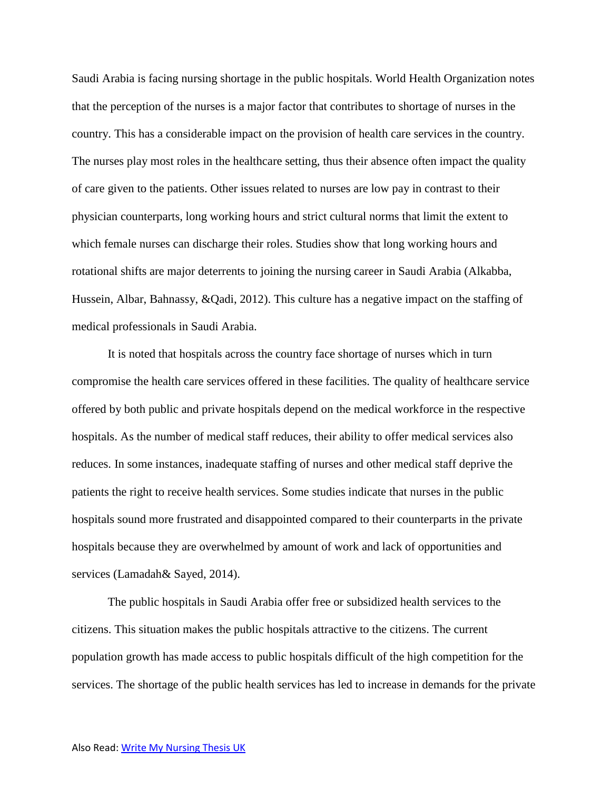Saudi Arabia is facing nursing shortage in the public hospitals. World Health Organization notes that the perception of the nurses is a major factor that contributes to shortage of nurses in the country. This has a considerable impact on the provision of health care services in the country. The nurses play most roles in the healthcare setting, thus their absence often impact the quality of care given to the patients. Other issues related to nurses are low pay in contrast to their physician counterparts, long working hours and strict cultural norms that limit the extent to which female nurses can discharge their roles. Studies show that long working hours and rotational shifts are major deterrents to joining the nursing career in Saudi Arabia (Alkabba, Hussein, Albar, Bahnassy, &Qadi, 2012). This culture has a negative impact on the staffing of medical professionals in Saudi Arabia.

It is noted that hospitals across the country face shortage of nurses which in turn compromise the health care services offered in these facilities. The quality of healthcare service offered by both public and private hospitals depend on the medical workforce in the respective hospitals. As the number of medical staff reduces, their ability to offer medical services also reduces. In some instances, inadequate staffing of nurses and other medical staff deprive the patients the right to receive health services. Some studies indicate that nurses in the public hospitals sound more frustrated and disappointed compared to their counterparts in the private hospitals because they are overwhelmed by amount of work and lack of opportunities and services (Lamadah& Sayed, 2014).

The public hospitals in Saudi Arabia offer free or subsidized health services to the citizens. This situation makes the public hospitals attractive to the citizens. The current population growth has made access to public hospitals difficult of the high competition for the services. The shortage of the public health services has led to increase in demands for the private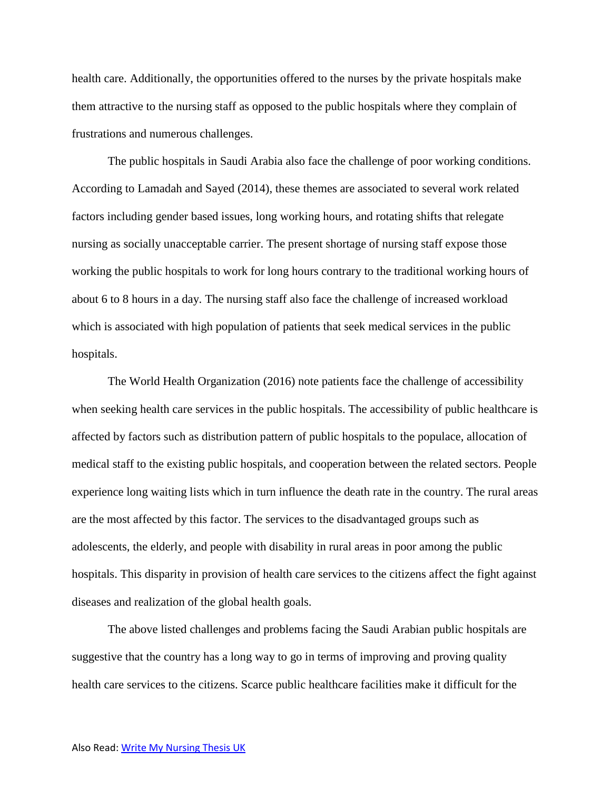health care. Additionally, the opportunities offered to the nurses by the private hospitals make them attractive to the nursing staff as opposed to the public hospitals where they complain of frustrations and numerous challenges.

The public hospitals in Saudi Arabia also face the challenge of poor working conditions. According to Lamadah and Sayed (2014), these themes are associated to several work related factors including gender based issues, long working hours, and rotating shifts that relegate nursing as socially unacceptable carrier. The present shortage of nursing staff expose those working the public hospitals to work for long hours contrary to the traditional working hours of about 6 to 8 hours in a day. The nursing staff also face the challenge of increased workload which is associated with high population of patients that seek medical services in the public hospitals.

The World Health Organization (2016) note patients face the challenge of accessibility when seeking health care services in the public hospitals. The accessibility of public healthcare is affected by factors such as distribution pattern of public hospitals to the populace, allocation of medical staff to the existing public hospitals, and cooperation between the related sectors. People experience long waiting lists which in turn influence the death rate in the country. The rural areas are the most affected by this factor. The services to the disadvantaged groups such as adolescents, the elderly, and people with disability in rural areas in poor among the public hospitals. This disparity in provision of health care services to the citizens affect the fight against diseases and realization of the global health goals.

The above listed challenges and problems facing the Saudi Arabian public hospitals are suggestive that the country has a long way to go in terms of improving and proving quality health care services to the citizens. Scarce public healthcare facilities make it difficult for the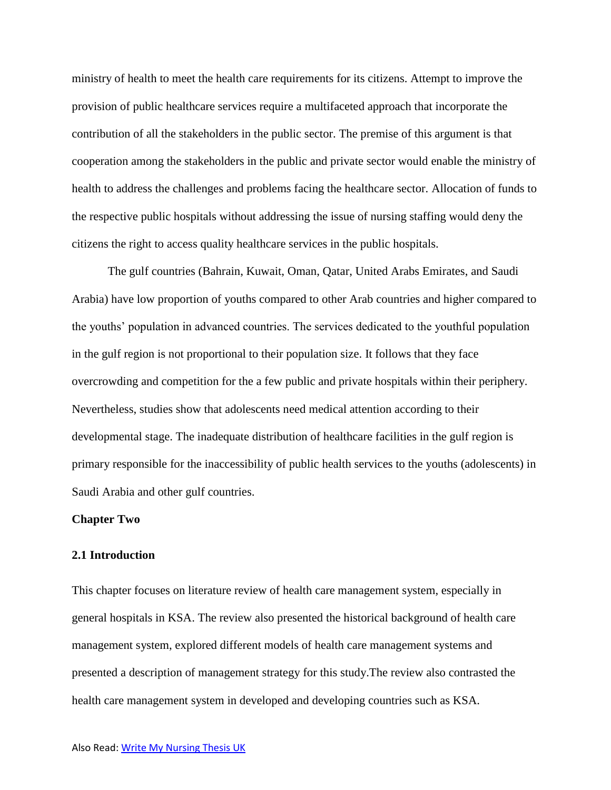ministry of health to meet the health care requirements for its citizens. Attempt to improve the provision of public healthcare services require a multifaceted approach that incorporate the contribution of all the stakeholders in the public sector. The premise of this argument is that cooperation among the stakeholders in the public and private sector would enable the ministry of health to address the challenges and problems facing the healthcare sector. Allocation of funds to the respective public hospitals without addressing the issue of nursing staffing would deny the citizens the right to access quality healthcare services in the public hospitals.

The gulf countries (Bahrain, Kuwait, Oman, Qatar, United Arabs Emirates, and Saudi Arabia) have low proportion of youths compared to other Arab countries and higher compared to the youths' population in advanced countries. The services dedicated to the youthful population in the gulf region is not proportional to their population size. It follows that they face overcrowding and competition for the a few public and private hospitals within their periphery. Nevertheless, studies show that adolescents need medical attention according to their developmental stage. The inadequate distribution of healthcare facilities in the gulf region is primary responsible for the inaccessibility of public health services to the youths (adolescents) in Saudi Arabia and other gulf countries.

#### **Chapter Two**

## **2.1 Introduction**

This chapter focuses on literature review of health care management system, especially in general hospitals in KSA. The review also presented the historical background of health care management system, explored different models of health care management systems and presented a description of management strategy for this study.The review also contrasted the health care management system in developed and developing countries such as KSA.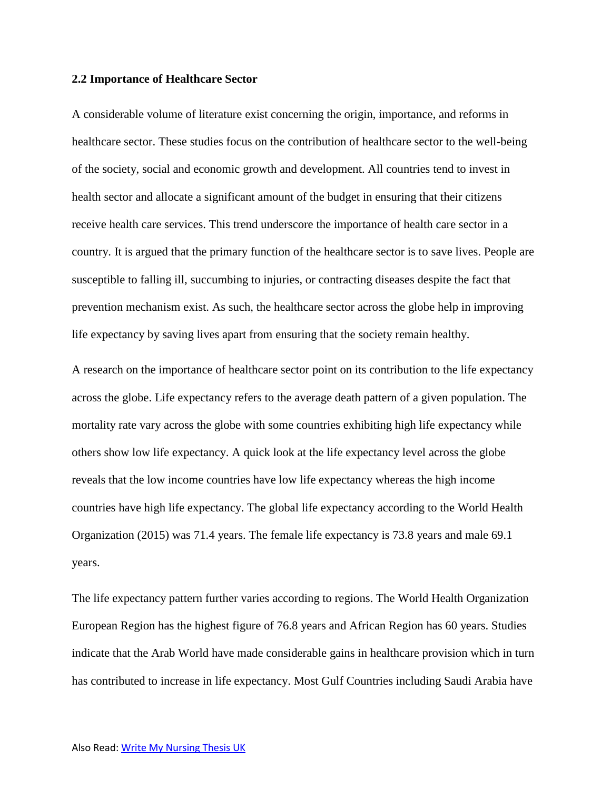#### **2.2 Importance of Healthcare Sector**

A considerable volume of literature exist concerning the origin, importance, and reforms in healthcare sector. These studies focus on the contribution of healthcare sector to the well-being of the society, social and economic growth and development. All countries tend to invest in health sector and allocate a significant amount of the budget in ensuring that their citizens receive health care services. This trend underscore the importance of health care sector in a country. It is argued that the primary function of the healthcare sector is to save lives. People are susceptible to falling ill, succumbing to injuries, or contracting diseases despite the fact that prevention mechanism exist. As such, the healthcare sector across the globe help in improving life expectancy by saving lives apart from ensuring that the society remain healthy.

A research on the importance of healthcare sector point on its contribution to the life expectancy across the globe. Life expectancy refers to the average death pattern of a given population. The mortality rate vary across the globe with some countries exhibiting high life expectancy while others show low life expectancy. A quick look at the life expectancy level across the globe reveals that the low income countries have low life expectancy whereas the high income countries have high life expectancy. The global life expectancy according to the World Health Organization (2015) was 71.4 years. The female life expectancy is 73.8 years and male 69.1 years.

The life expectancy pattern further varies according to regions. The World Health Organization European Region has the highest figure of 76.8 years and African Region has 60 years. Studies indicate that the Arab World have made considerable gains in healthcare provision which in turn has contributed to increase in life expectancy. Most Gulf Countries including Saudi Arabia have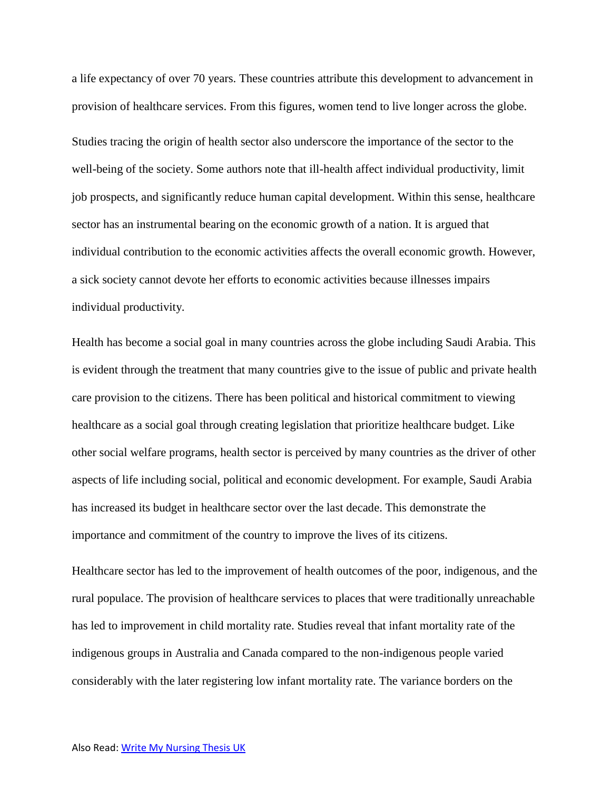a life expectancy of over 70 years. These countries attribute this development to advancement in provision of healthcare services. From this figures, women tend to live longer across the globe. Studies tracing the origin of health sector also underscore the importance of the sector to the well-being of the society. Some authors note that ill-health affect individual productivity, limit job prospects, and significantly reduce human capital development. Within this sense, healthcare sector has an instrumental bearing on the economic growth of a nation. It is argued that individual contribution to the economic activities affects the overall economic growth. However, a sick society cannot devote her efforts to economic activities because illnesses impairs individual productivity.

Health has become a social goal in many countries across the globe including Saudi Arabia. This is evident through the treatment that many countries give to the issue of public and private health care provision to the citizens. There has been political and historical commitment to viewing healthcare as a social goal through creating legislation that prioritize healthcare budget. Like other social welfare programs, health sector is perceived by many countries as the driver of other aspects of life including social, political and economic development. For example, Saudi Arabia has increased its budget in healthcare sector over the last decade. This demonstrate the importance and commitment of the country to improve the lives of its citizens.

Healthcare sector has led to the improvement of health outcomes of the poor, indigenous, and the rural populace. The provision of healthcare services to places that were traditionally unreachable has led to improvement in child mortality rate. Studies reveal that infant mortality rate of the indigenous groups in Australia and Canada compared to the non-indigenous people varied considerably with the later registering low infant mortality rate. The variance borders on the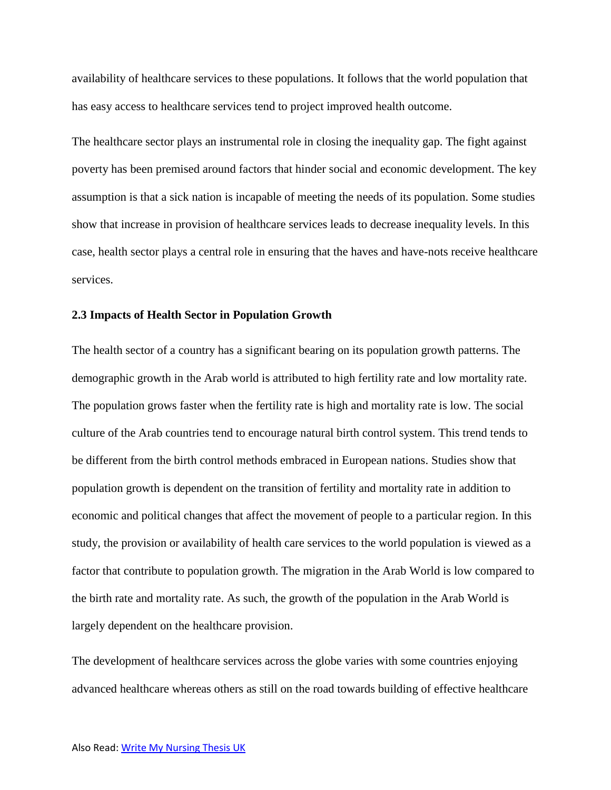availability of healthcare services to these populations. It follows that the world population that has easy access to healthcare services tend to project improved health outcome.

The healthcare sector plays an instrumental role in closing the inequality gap. The fight against poverty has been premised around factors that hinder social and economic development. The key assumption is that a sick nation is incapable of meeting the needs of its population. Some studies show that increase in provision of healthcare services leads to decrease inequality levels. In this case, health sector plays a central role in ensuring that the haves and have-nots receive healthcare services.

## **2.3 Impacts of Health Sector in Population Growth**

The health sector of a country has a significant bearing on its population growth patterns. The demographic growth in the Arab world is attributed to high fertility rate and low mortality rate. The population grows faster when the fertility rate is high and mortality rate is low. The social culture of the Arab countries tend to encourage natural birth control system. This trend tends to be different from the birth control methods embraced in European nations. Studies show that population growth is dependent on the transition of fertility and mortality rate in addition to economic and political changes that affect the movement of people to a particular region. In this study, the provision or availability of health care services to the world population is viewed as a factor that contribute to population growth. The migration in the Arab World is low compared to the birth rate and mortality rate. As such, the growth of the population in the Arab World is largely dependent on the healthcare provision.

The development of healthcare services across the globe varies with some countries enjoying advanced healthcare whereas others as still on the road towards building of effective healthcare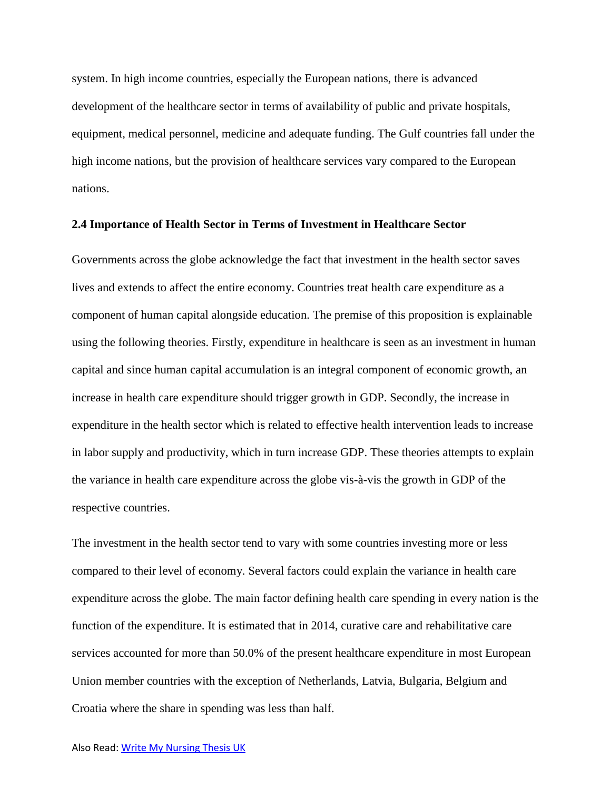system. In high income countries, especially the European nations, there is advanced development of the healthcare sector in terms of availability of public and private hospitals, equipment, medical personnel, medicine and adequate funding. The Gulf countries fall under the high income nations, but the provision of healthcare services vary compared to the European nations.

#### **2.4 Importance of Health Sector in Terms of Investment in Healthcare Sector**

Governments across the globe acknowledge the fact that investment in the health sector saves lives and extends to affect the entire economy. Countries treat health care expenditure as a component of human capital alongside education. The premise of this proposition is explainable using the following theories. Firstly, expenditure in healthcare is seen as an investment in human capital and since human capital accumulation is an integral component of economic growth, an increase in health care expenditure should trigger growth in GDP. Secondly, the increase in expenditure in the health sector which is related to effective health intervention leads to increase in labor supply and productivity, which in turn increase GDP. These theories attempts to explain the variance in health care expenditure across the globe vis-à-vis the growth in GDP of the respective countries.

The investment in the health sector tend to vary with some countries investing more or less compared to their level of economy. Several factors could explain the variance in health care expenditure across the globe. The main factor defining health care spending in every nation is the function of the expenditure. It is estimated that in 2014, curative care and rehabilitative care services accounted for more than 50.0% of the present healthcare expenditure in most European Union member countries with the exception of Netherlands, Latvia, Bulgaria, Belgium and Croatia where the share in spending was less than half.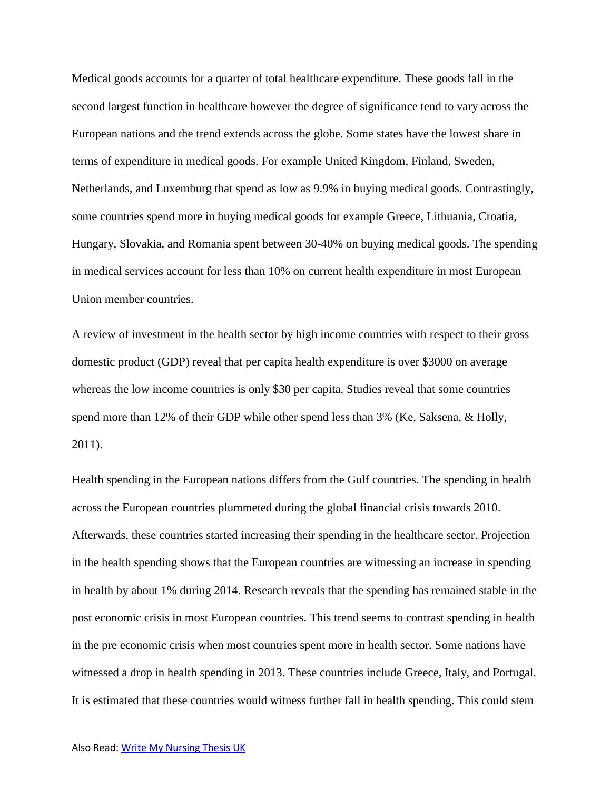Medical goods accounts for a quarter of total healthcare expenditure. These goods fall in the second largest function in healthcare however the degree of significance tend to vary across the European nations and the trend extends across the globe. Some states have the lowest share in terms of expenditure in medical goods. For example United Kingdom, Finland, Sweden, Netherlands, and Luxemburg that spend as low as 9.9% in buying medical goods. Contrastingly, some countries spend more in buying medical goods for example Greece, Lithuania, Croatia, Hungary, Slovakia, and Romania spent between 30-40% on buying medical goods. The spending in medical services account for less than 10% on current health expenditure in most European Union member countries.

A review of investment in the health sector by high income countries with respect to their gross domestic product (GDP) reveal that per capita health expenditure is over \$3000 on average whereas the low income countries is only \$30 per capita. Studies reveal that some countries spend more than 12% of their GDP while other spend less than 3% (Ke, Saksena, & Holly, 2011).

Health spending in the European nations differs from the Gulf countries. The spending in health across the European countries plummeted during the global financial crisis towards 2010. Afterwards, these countries started increasing their spending in the healthcare sector. Projection in the health spending shows that the European countries are witnessing an increase in spending in health by about 1% during 2014. Research reveals that the spending has remained stable in the post economic crisis in most European countries. This trend seems to contrast spending in health in the pre economic crisis when most countries spent more in health sector. Some nations have witnessed a drop in health spending in 2013. These countries include Greece, Italy, and Portugal. It is estimated that these countries would witness further fall in health spending. This could stem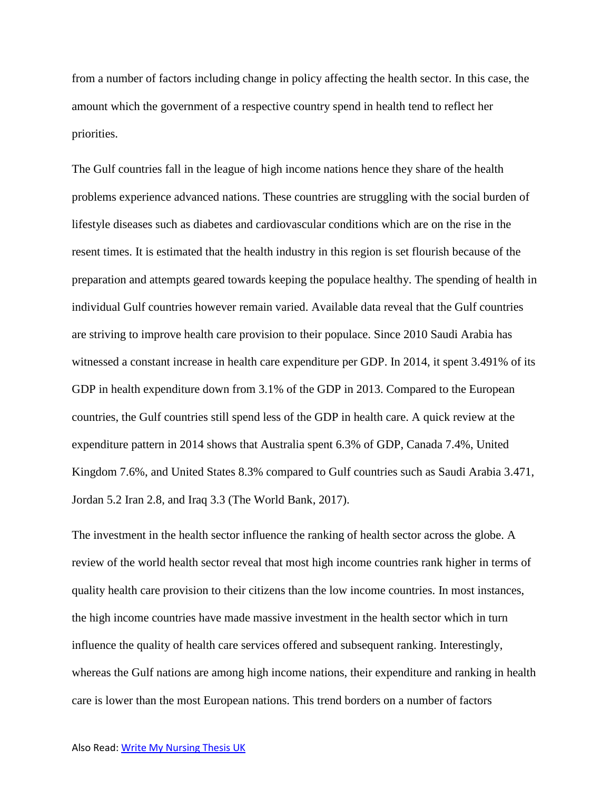from a number of factors including change in policy affecting the health sector. In this case, the amount which the government of a respective country spend in health tend to reflect her priorities.

The Gulf countries fall in the league of high income nations hence they share of the health problems experience advanced nations. These countries are struggling with the social burden of lifestyle diseases such as diabetes and cardiovascular conditions which are on the rise in the resent times. It is estimated that the health industry in this region is set flourish because of the preparation and attempts geared towards keeping the populace healthy. The spending of health in individual Gulf countries however remain varied. Available data reveal that the Gulf countries are striving to improve health care provision to their populace. Since 2010 Saudi Arabia has witnessed a constant increase in health care expenditure per GDP. In 2014, it spent 3.491% of its GDP in health expenditure down from 3.1% of the GDP in 2013. Compared to the European countries, the Gulf countries still spend less of the GDP in health care. A quick review at the expenditure pattern in 2014 shows that Australia spent 6.3% of GDP, Canada 7.4%, United Kingdom 7.6%, and United States 8.3% compared to Gulf countries such as Saudi Arabia 3.471, Jordan 5.2 Iran 2.8, and Iraq 3.3 (The World Bank, 2017).

The investment in the health sector influence the ranking of health sector across the globe. A review of the world health sector reveal that most high income countries rank higher in terms of quality health care provision to their citizens than the low income countries. In most instances, the high income countries have made massive investment in the health sector which in turn influence the quality of health care services offered and subsequent ranking. Interestingly, whereas the Gulf nations are among high income nations, their expenditure and ranking in health care is lower than the most European nations. This trend borders on a number of factors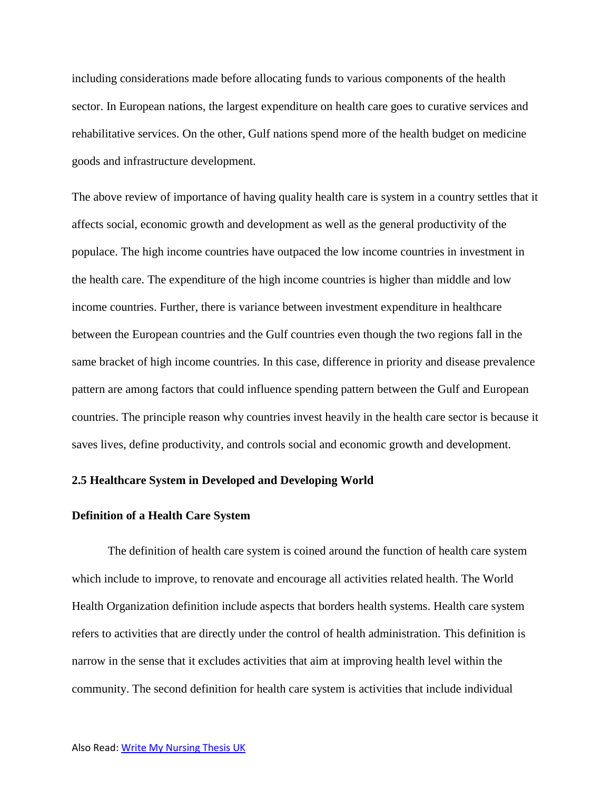including considerations made before allocating funds to various components of the health sector. In European nations, the largest expenditure on health care goes to curative services and rehabilitative services. On the other, Gulf nations spend more of the health budget on medicine goods and infrastructure development.

The above review of importance of having quality health care is system in a country settles that it affects social, economic growth and development as well as the general productivity of the populace. The high income countries have outpaced the low income countries in investment in the health care. The expenditure of the high income countries is higher than middle and low income countries. Further, there is variance between investment expenditure in healthcare between the European countries and the Gulf countries even though the two regions fall in the same bracket of high income countries. In this case, difference in priority and disease prevalence pattern are among factors that could influence spending pattern between the Gulf and European countries. The principle reason why countries invest heavily in the health care sector is because it saves lives, define productivity, and controls social and economic growth and development.

## **2.5 Healthcare System in Developed and Developing World**

## **Definition of a Health Care System**

The definition of health care system is coined around the function of health care system which include to improve, to renovate and encourage all activities related health. The World Health Organization definition include aspects that borders health systems. Health care system refers to activities that are directly under the control of health administration. This definition is narrow in the sense that it excludes activities that aim at improving health level within the community. The second definition for health care system is activities that include individual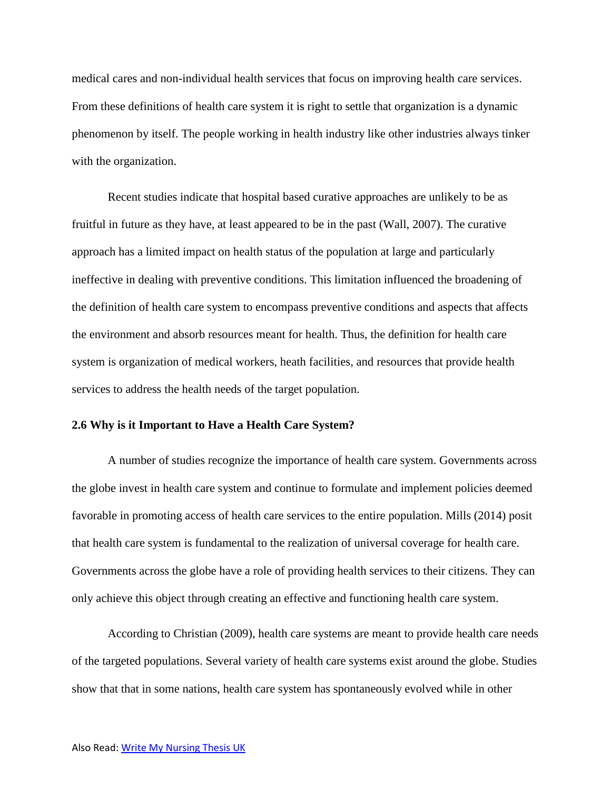medical cares and non-individual health services that focus on improving health care services. From these definitions of health care system it is right to settle that organization is a dynamic phenomenon by itself. The people working in health industry like other industries always tinker with the organization.

Recent studies indicate that hospital based curative approaches are unlikely to be as fruitful in future as they have, at least appeared to be in the past (Wall, 2007). The curative approach has a limited impact on health status of the population at large and particularly ineffective in dealing with preventive conditions. This limitation influenced the broadening of the definition of health care system to encompass preventive conditions and aspects that affects the environment and absorb resources meant for health. Thus, the definition for health care system is organization of medical workers, heath facilities, and resources that provide health services to address the health needs of the target population.

## **2.6 Why is it Important to Have a Health Care System?**

A number of studies recognize the importance of health care system. Governments across the globe invest in health care system and continue to formulate and implement policies deemed favorable in promoting access of health care services to the entire population. Mills (2014) posit that health care system is fundamental to the realization of universal coverage for health care. Governments across the globe have a role of providing health services to their citizens. They can only achieve this object through creating an effective and functioning health care system.

According to Christian (2009), health care systems are meant to provide health care needs of the targeted populations. Several variety of health care systems exist around the globe. Studies show that that in some nations, health care system has spontaneously evolved while in other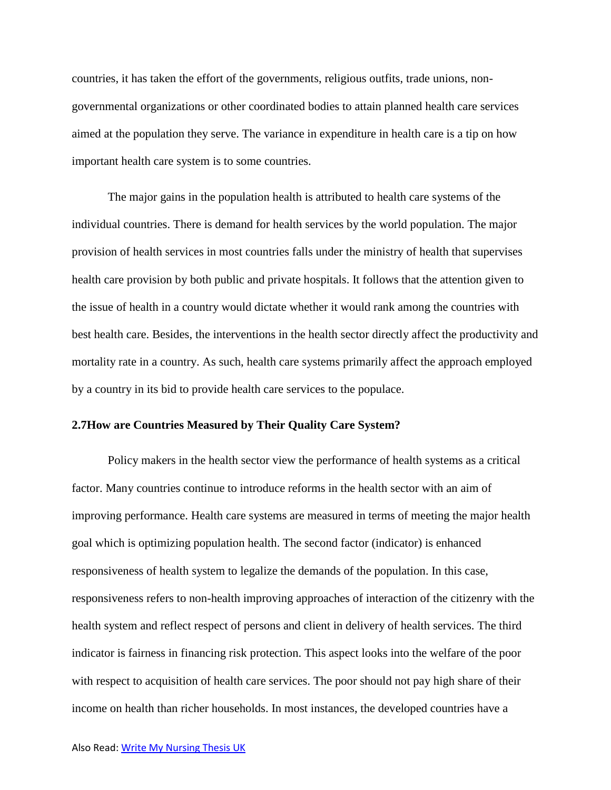countries, it has taken the effort of the governments, religious outfits, trade unions, nongovernmental organizations or other coordinated bodies to attain planned health care services aimed at the population they serve. The variance in expenditure in health care is a tip on how important health care system is to some countries.

The major gains in the population health is attributed to health care systems of the individual countries. There is demand for health services by the world population. The major provision of health services in most countries falls under the ministry of health that supervises health care provision by both public and private hospitals. It follows that the attention given to the issue of health in a country would dictate whether it would rank among the countries with best health care. Besides, the interventions in the health sector directly affect the productivity and mortality rate in a country. As such, health care systems primarily affect the approach employed by a country in its bid to provide health care services to the populace.

## **2.7How are Countries Measured by Their Quality Care System?**

Policy makers in the health sector view the performance of health systems as a critical factor. Many countries continue to introduce reforms in the health sector with an aim of improving performance. Health care systems are measured in terms of meeting the major health goal which is optimizing population health. The second factor (indicator) is enhanced responsiveness of health system to legalize the demands of the population. In this case, responsiveness refers to non-health improving approaches of interaction of the citizenry with the health system and reflect respect of persons and client in delivery of health services. The third indicator is fairness in financing risk protection. This aspect looks into the welfare of the poor with respect to acquisition of health care services. The poor should not pay high share of their income on health than richer households. In most instances, the developed countries have a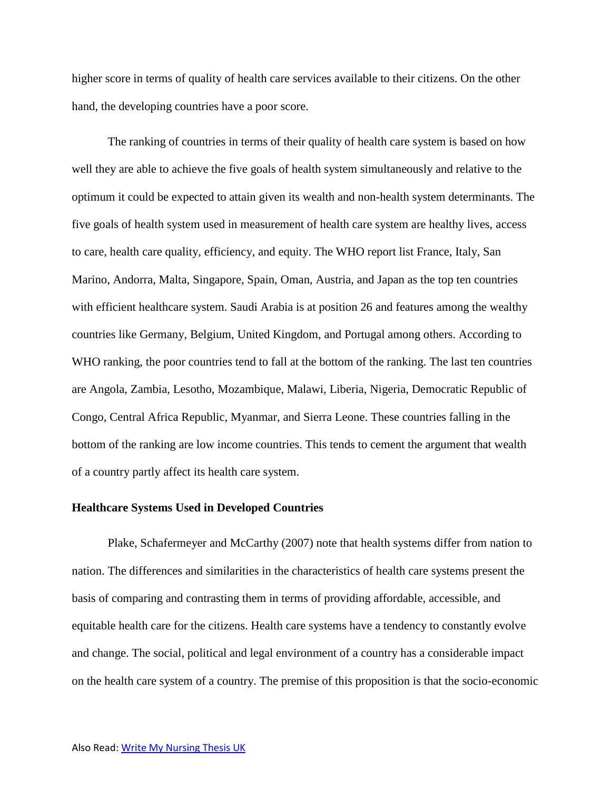higher score in terms of quality of health care services available to their citizens. On the other hand, the developing countries have a poor score.

The ranking of countries in terms of their quality of health care system is based on how well they are able to achieve the five goals of health system simultaneously and relative to the optimum it could be expected to attain given its wealth and non-health system determinants. The five goals of health system used in measurement of health care system are healthy lives, access to care, health care quality, efficiency, and equity. The WHO report list France, Italy, San Marino, Andorra, Malta, Singapore, Spain, Oman, Austria, and Japan as the top ten countries with efficient healthcare system. Saudi Arabia is at position 26 and features among the wealthy countries like Germany, Belgium, United Kingdom, and Portugal among others. According to WHO ranking, the poor countries tend to fall at the bottom of the ranking. The last ten countries are Angola, Zambia, Lesotho, Mozambique, Malawi, Liberia, Nigeria, Democratic Republic of Congo, Central Africa Republic, Myanmar, and Sierra Leone. These countries falling in the bottom of the ranking are low income countries. This tends to cement the argument that wealth of a country partly affect its health care system.

## **Healthcare Systems Used in Developed Countries**

Plake, Schafermeyer and McCarthy (2007) note that health systems differ from nation to nation. The differences and similarities in the characteristics of health care systems present the basis of comparing and contrasting them in terms of providing affordable, accessible, and equitable health care for the citizens. Health care systems have a tendency to constantly evolve and change. The social, political and legal environment of a country has a considerable impact on the health care system of a country. The premise of this proposition is that the socio-economic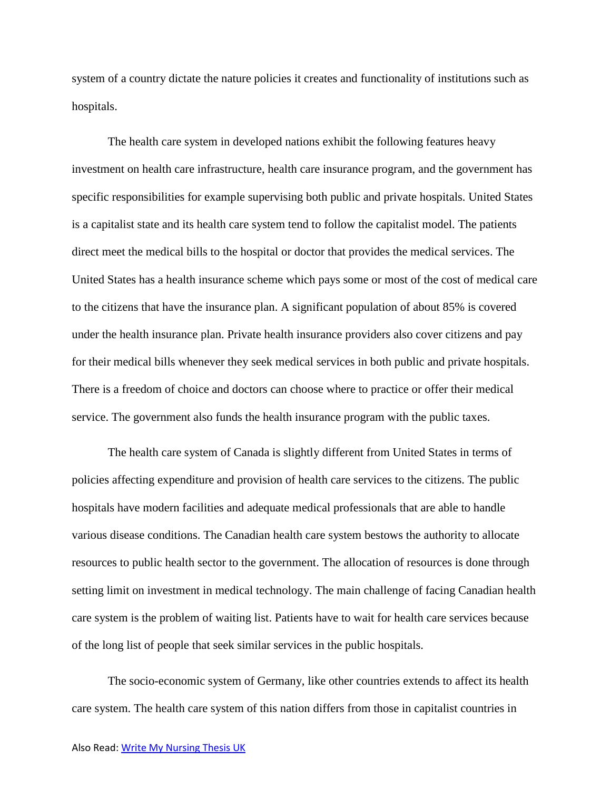system of a country dictate the nature policies it creates and functionality of institutions such as hospitals.

The health care system in developed nations exhibit the following features heavy investment on health care infrastructure, health care insurance program, and the government has specific responsibilities for example supervising both public and private hospitals. United States is a capitalist state and its health care system tend to follow the capitalist model. The patients direct meet the medical bills to the hospital or doctor that provides the medical services. The United States has a health insurance scheme which pays some or most of the cost of medical care to the citizens that have the insurance plan. A significant population of about 85% is covered under the health insurance plan. Private health insurance providers also cover citizens and pay for their medical bills whenever they seek medical services in both public and private hospitals. There is a freedom of choice and doctors can choose where to practice or offer their medical service. The government also funds the health insurance program with the public taxes.

The health care system of Canada is slightly different from United States in terms of policies affecting expenditure and provision of health care services to the citizens. The public hospitals have modern facilities and adequate medical professionals that are able to handle various disease conditions. The Canadian health care system bestows the authority to allocate resources to public health sector to the government. The allocation of resources is done through setting limit on investment in medical technology. The main challenge of facing Canadian health care system is the problem of waiting list. Patients have to wait for health care services because of the long list of people that seek similar services in the public hospitals.

The socio-economic system of Germany, like other countries extends to affect its health care system. The health care system of this nation differs from those in capitalist countries in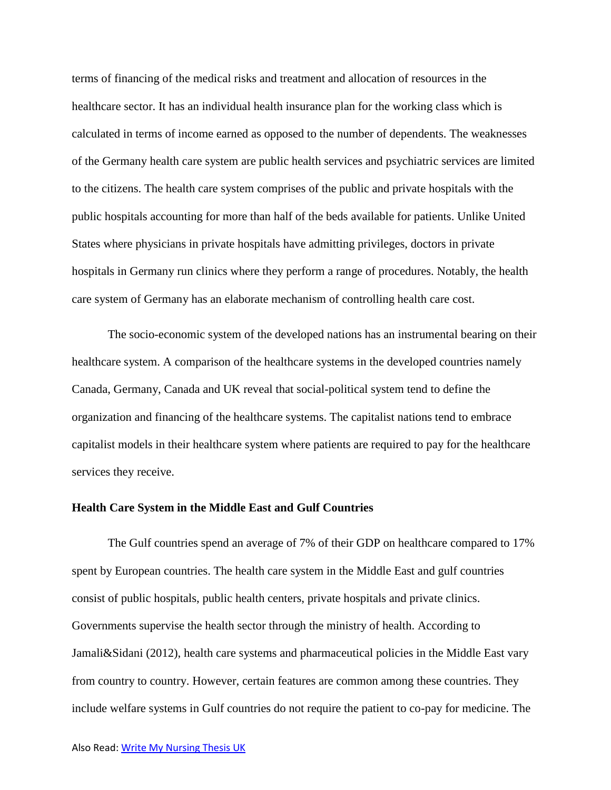terms of financing of the medical risks and treatment and allocation of resources in the healthcare sector. It has an individual health insurance plan for the working class which is calculated in terms of income earned as opposed to the number of dependents. The weaknesses of the Germany health care system are public health services and psychiatric services are limited to the citizens. The health care system comprises of the public and private hospitals with the public hospitals accounting for more than half of the beds available for patients. Unlike United States where physicians in private hospitals have admitting privileges, doctors in private hospitals in Germany run clinics where they perform a range of procedures. Notably, the health care system of Germany has an elaborate mechanism of controlling health care cost.

The socio-economic system of the developed nations has an instrumental bearing on their healthcare system. A comparison of the healthcare systems in the developed countries namely Canada, Germany, Canada and UK reveal that social-political system tend to define the organization and financing of the healthcare systems. The capitalist nations tend to embrace capitalist models in their healthcare system where patients are required to pay for the healthcare services they receive.

#### **Health Care System in the Middle East and Gulf Countries**

The Gulf countries spend an average of 7% of their GDP on healthcare compared to 17% spent by European countries. The health care system in the Middle East and gulf countries consist of public hospitals, public health centers, private hospitals and private clinics. Governments supervise the health sector through the ministry of health. According to Jamali&Sidani (2012), health care systems and pharmaceutical policies in the Middle East vary from country to country. However, certain features are common among these countries. They include welfare systems in Gulf countries do not require the patient to co-pay for medicine. The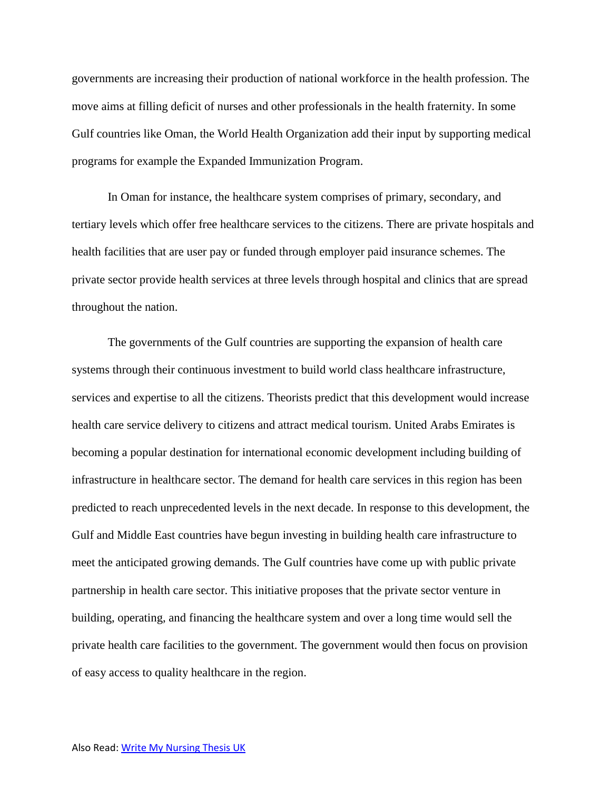governments are increasing their production of national workforce in the health profession. The move aims at filling deficit of nurses and other professionals in the health fraternity. In some Gulf countries like Oman, the World Health Organization add their input by supporting medical programs for example the Expanded Immunization Program.

In Oman for instance, the healthcare system comprises of primary, secondary, and tertiary levels which offer free healthcare services to the citizens. There are private hospitals and health facilities that are user pay or funded through employer paid insurance schemes. The private sector provide health services at three levels through hospital and clinics that are spread throughout the nation.

The governments of the Gulf countries are supporting the expansion of health care systems through their continuous investment to build world class healthcare infrastructure, services and expertise to all the citizens. Theorists predict that this development would increase health care service delivery to citizens and attract medical tourism. United Arabs Emirates is becoming a popular destination for international economic development including building of infrastructure in healthcare sector. The demand for health care services in this region has been predicted to reach unprecedented levels in the next decade. In response to this development, the Gulf and Middle East countries have begun investing in building health care infrastructure to meet the anticipated growing demands. The Gulf countries have come up with public private partnership in health care sector. This initiative proposes that the private sector venture in building, operating, and financing the healthcare system and over a long time would sell the private health care facilities to the government. The government would then focus on provision of easy access to quality healthcare in the region.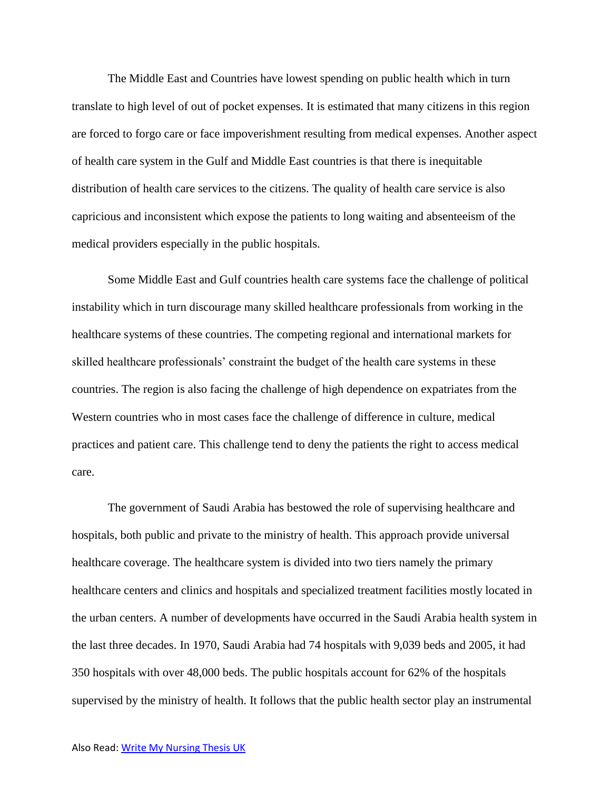The Middle East and Countries have lowest spending on public health which in turn translate to high level of out of pocket expenses. It is estimated that many citizens in this region are forced to forgo care or face impoverishment resulting from medical expenses. Another aspect of health care system in the Gulf and Middle East countries is that there is inequitable distribution of health care services to the citizens. The quality of health care service is also capricious and inconsistent which expose the patients to long waiting and absenteeism of the medical providers especially in the public hospitals.

Some Middle East and Gulf countries health care systems face the challenge of political instability which in turn discourage many skilled healthcare professionals from working in the healthcare systems of these countries. The competing regional and international markets for skilled healthcare professionals' constraint the budget of the health care systems in these countries. The region is also facing the challenge of high dependence on expatriates from the Western countries who in most cases face the challenge of difference in culture, medical practices and patient care. This challenge tend to deny the patients the right to access medical care.

The government of Saudi Arabia has bestowed the role of supervising healthcare and hospitals, both public and private to the ministry of health. This approach provide universal healthcare coverage. The healthcare system is divided into two tiers namely the primary healthcare centers and clinics and hospitals and specialized treatment facilities mostly located in the urban centers. A number of developments have occurred in the Saudi Arabia health system in the last three decades. In 1970, Saudi Arabia had 74 hospitals with 9,039 beds and 2005, it had 350 hospitals with over 48,000 beds. The public hospitals account for 62% of the hospitals supervised by the ministry of health. It follows that the public health sector play an instrumental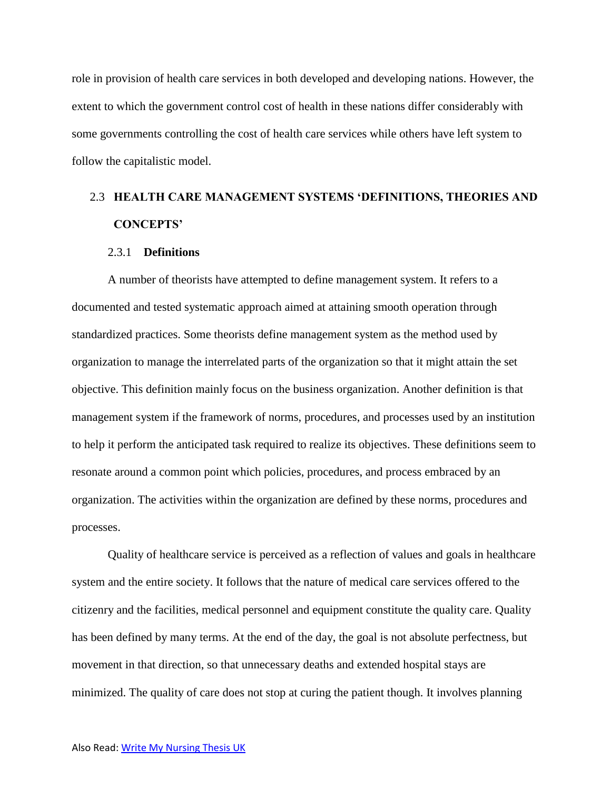role in provision of health care services in both developed and developing nations. However, the extent to which the government control cost of health in these nations differ considerably with some governments controlling the cost of health care services while others have left system to follow the capitalistic model.

# 2.3 **HEALTH CARE MANAGEMENT SYSTEMS 'DEFINITIONS, THEORIES AND CONCEPTS'**

## 2.3.1 **Definitions**

A number of theorists have attempted to define management system. It refers to a documented and tested systematic approach aimed at attaining smooth operation through standardized practices. Some theorists define management system as the method used by organization to manage the interrelated parts of the organization so that it might attain the set objective. This definition mainly focus on the business organization. Another definition is that management system if the framework of norms, procedures, and processes used by an institution to help it perform the anticipated task required to realize its objectives. These definitions seem to resonate around a common point which policies, procedures, and process embraced by an organization. The activities within the organization are defined by these norms, procedures and processes.

Quality of healthcare service is perceived as a reflection of values and goals in healthcare system and the entire society. It follows that the nature of medical care services offered to the citizenry and the facilities, medical personnel and equipment constitute the quality care. Quality has been defined by many terms. At the end of the day, the goal is not absolute perfectness, but movement in that direction, so that unnecessary deaths and extended hospital stays are minimized. The quality of care does not stop at curing the patient though. It involves planning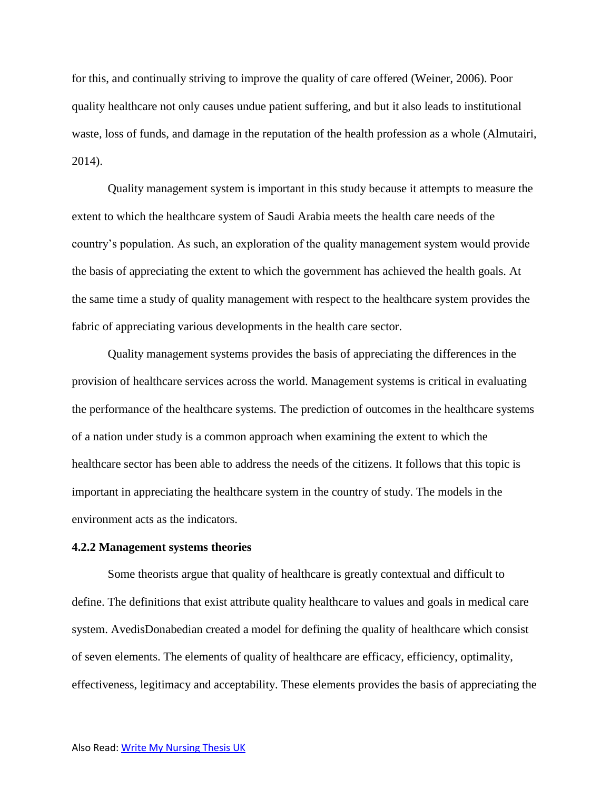for this, and continually striving to improve the quality of care offered (Weiner, 2006). Poor quality healthcare not only causes undue patient suffering, and but it also leads to institutional waste, loss of funds, and damage in the reputation of the health profession as a whole (Almutairi, 2014).

Quality management system is important in this study because it attempts to measure the extent to which the healthcare system of Saudi Arabia meets the health care needs of the country's population. As such, an exploration of the quality management system would provide the basis of appreciating the extent to which the government has achieved the health goals. At the same time a study of quality management with respect to the healthcare system provides the fabric of appreciating various developments in the health care sector.

Quality management systems provides the basis of appreciating the differences in the provision of healthcare services across the world. Management systems is critical in evaluating the performance of the healthcare systems. The prediction of outcomes in the healthcare systems of a nation under study is a common approach when examining the extent to which the healthcare sector has been able to address the needs of the citizens. It follows that this topic is important in appreciating the healthcare system in the country of study. The models in the environment acts as the indicators.

#### **4.2.2 Management systems theories**

Some theorists argue that quality of healthcare is greatly contextual and difficult to define. The definitions that exist attribute quality healthcare to values and goals in medical care system. AvedisDonabedian created a model for defining the quality of healthcare which consist of seven elements. The elements of quality of healthcare are efficacy, efficiency, optimality, effectiveness, legitimacy and acceptability. These elements provides the basis of appreciating the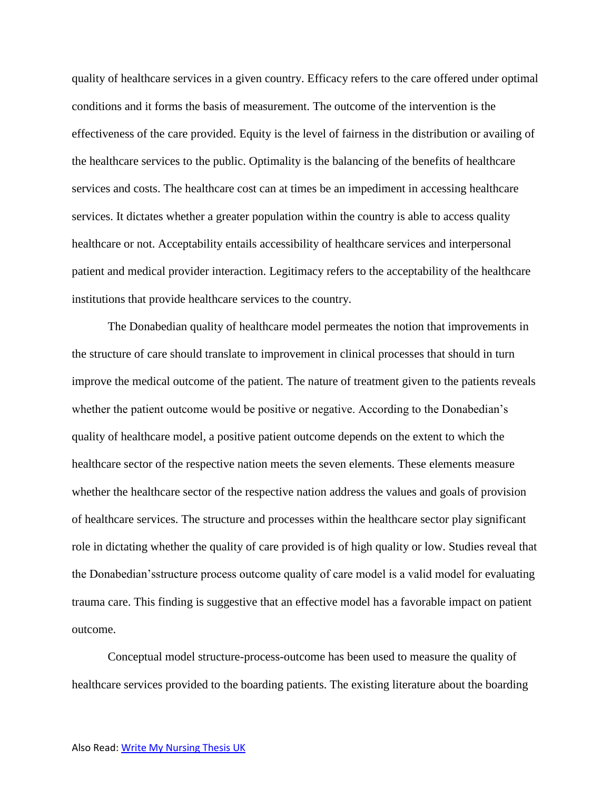quality of healthcare services in a given country. Efficacy refers to the care offered under optimal conditions and it forms the basis of measurement. The outcome of the intervention is the effectiveness of the care provided. Equity is the level of fairness in the distribution or availing of the healthcare services to the public. Optimality is the balancing of the benefits of healthcare services and costs. The healthcare cost can at times be an impediment in accessing healthcare services. It dictates whether a greater population within the country is able to access quality healthcare or not. Acceptability entails accessibility of healthcare services and interpersonal patient and medical provider interaction. Legitimacy refers to the acceptability of the healthcare institutions that provide healthcare services to the country.

The Donabedian quality of healthcare model permeates the notion that improvements in the structure of care should translate to improvement in clinical processes that should in turn improve the medical outcome of the patient. The nature of treatment given to the patients reveals whether the patient outcome would be positive or negative. According to the Donabedian's quality of healthcare model, a positive patient outcome depends on the extent to which the healthcare sector of the respective nation meets the seven elements. These elements measure whether the healthcare sector of the respective nation address the values and goals of provision of healthcare services. The structure and processes within the healthcare sector play significant role in dictating whether the quality of care provided is of high quality or low. Studies reveal that the Donabedian'sstructure process outcome quality of care model is a valid model for evaluating trauma care. This finding is suggestive that an effective model has a favorable impact on patient outcome.

Conceptual model structure-process-outcome has been used to measure the quality of healthcare services provided to the boarding patients. The existing literature about the boarding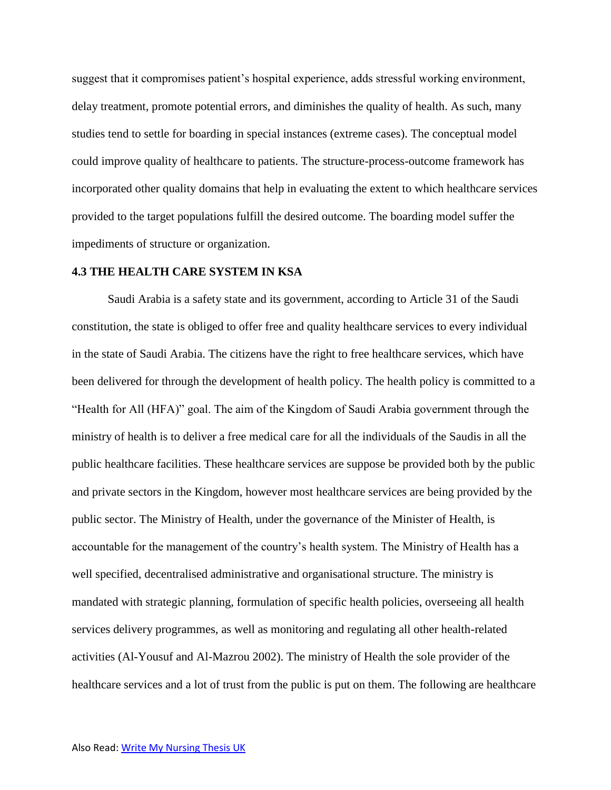suggest that it compromises patient's hospital experience, adds stressful working environment, delay treatment, promote potential errors, and diminishes the quality of health. As such, many studies tend to settle for boarding in special instances (extreme cases). The conceptual model could improve quality of healthcare to patients. The structure-process-outcome framework has incorporated other quality domains that help in evaluating the extent to which healthcare services provided to the target populations fulfill the desired outcome. The boarding model suffer the impediments of structure or organization.

## **4.3 THE HEALTH CARE SYSTEM IN KSA**

Saudi Arabia is a safety state and its government, according to Article 31 of the Saudi constitution, the state is obliged to offer free and quality healthcare services to every individual in the state of Saudi Arabia. The citizens have the right to free healthcare services, which have been delivered for through the development of health policy. The health policy is committed to a "Health for All (HFA)" goal. The aim of the Kingdom of Saudi Arabia government through the ministry of health is to deliver a free medical care for all the individuals of the Saudis in all the public healthcare facilities. These healthcare services are suppose be provided both by the public and private sectors in the Kingdom, however most healthcare services are being provided by the public sector. The Ministry of Health, under the governance of the Minister of Health, is accountable for the management of the country's health system. The Ministry of Health has a well specified, decentralised administrative and organisational structure. The ministry is mandated with strategic planning, formulation of specific health policies, overseeing all health services delivery programmes, as well as monitoring and regulating all other health-related activities (Al-Yousuf and Al-Mazrou 2002). The ministry of Health the sole provider of the healthcare services and a lot of trust from the public is put on them. The following are healthcare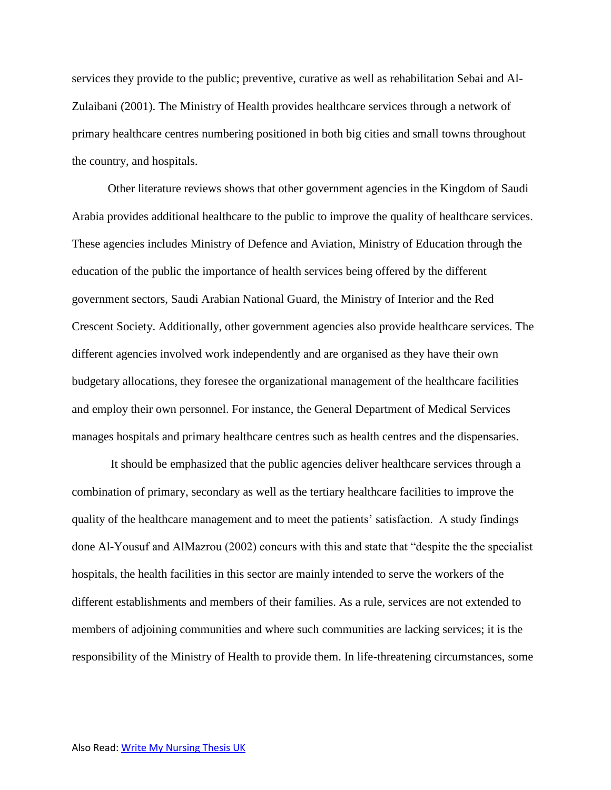services they provide to the public; preventive, curative as well as rehabilitation Sebai and Al-Zulaibani (2001). The Ministry of Health provides healthcare services through a network of primary healthcare centres numbering positioned in both big cities and small towns throughout the country, and hospitals.

Other literature reviews shows that other government agencies in the Kingdom of Saudi Arabia provides additional healthcare to the public to improve the quality of healthcare services. These agencies includes Ministry of Defence and Aviation, Ministry of Education through the education of the public the importance of health services being offered by the different government sectors, Saudi Arabian National Guard, the Ministry of Interior and the Red Crescent Society. Additionally, other government agencies also provide healthcare services. The different agencies involved work independently and are organised as they have their own budgetary allocations, they foresee the organizational management of the healthcare facilities and employ their own personnel. For instance, the General Department of Medical Services manages hospitals and primary healthcare centres such as health centres and the dispensaries.

It should be emphasized that the public agencies deliver healthcare services through a combination of primary, secondary as well as the tertiary healthcare facilities to improve the quality of the healthcare management and to meet the patients' satisfaction. A study findings done Al-Yousuf and AlMazrou (2002) concurs with this and state that "despite the the specialist hospitals, the health facilities in this sector are mainly intended to serve the workers of the different establishments and members of their families. As a rule, services are not extended to members of adjoining communities and where such communities are lacking services; it is the responsibility of the Ministry of Health to provide them. In life-threatening circumstances, some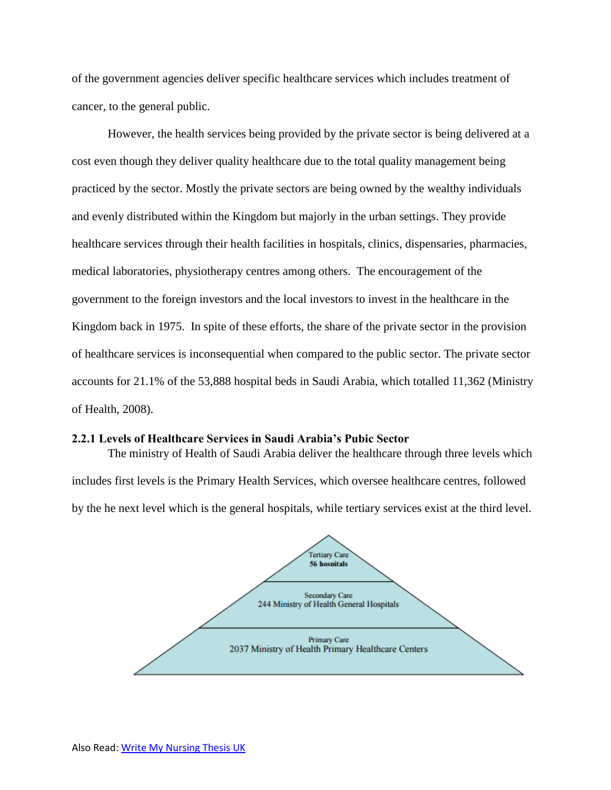of the government agencies deliver specific healthcare services which includes treatment of cancer, to the general public.

However, the health services being provided by the private sector is being delivered at a cost even though they deliver quality healthcare due to the total quality management being practiced by the sector. Mostly the private sectors are being owned by the wealthy individuals and evenly distributed within the Kingdom but majorly in the urban settings. They provide healthcare services through their health facilities in hospitals, clinics, dispensaries, pharmacies, medical laboratories, physiotherapy centres among others. The encouragement of the government to the foreign investors and the local investors to invest in the healthcare in the Kingdom back in 1975. In spite of these efforts, the share of the private sector in the provision of healthcare services is inconsequential when compared to the public sector. The private sector accounts for 21.1% of the 53,888 hospital beds in Saudi Arabia, which totalled 11,362 (Ministry of Health, 2008).

## **2.2.1 Levels of Healthcare Services in Saudi Arabia's Pubic Sector**

The ministry of Health of Saudi Arabia deliver the healthcare through three levels which includes first levels is the Primary Health Services, which oversee healthcare centres, followed by the he next level which is the general hospitals, while tertiary services exist at the third level.

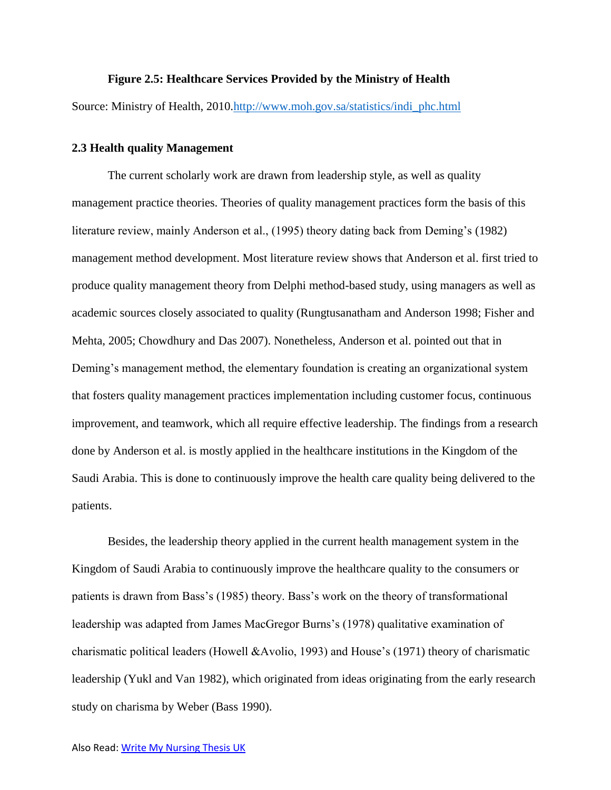#### **Figure 2.5: Healthcare Services Provided by the Ministry of Health**

Source: Ministry of Health, 2010[.http://www.moh.gov.sa/statistics/indi\\_phc.html](http://www.moh.gov.sa/statistics/indi_phc.html)

## **2.3 Health quality Management**

The current scholarly work are drawn from leadership style, as well as quality management practice theories. Theories of quality management practices form the basis of this literature review, mainly Anderson et al., (1995) theory dating back from Deming's (1982) management method development. Most literature review shows that Anderson et al. first tried to produce quality management theory from Delphi method-based study, using managers as well as academic sources closely associated to quality (Rungtusanatham and Anderson 1998; Fisher and Mehta, 2005; Chowdhury and Das 2007). Nonetheless, Anderson et al. pointed out that in Deming's management method, the elementary foundation is creating an organizational system that fosters quality management practices implementation including customer focus, continuous improvement, and teamwork, which all require effective leadership. The findings from a research done by Anderson et al. is mostly applied in the healthcare institutions in the Kingdom of the Saudi Arabia. This is done to continuously improve the health care quality being delivered to the patients.

Besides, the leadership theory applied in the current health management system in the Kingdom of Saudi Arabia to continuously improve the healthcare quality to the consumers or patients is drawn from Bass's (1985) theory. Bass's work on the theory of transformational leadership was adapted from James MacGregor Burns's (1978) qualitative examination of charismatic political leaders (Howell &Avolio, 1993) and House's (1971) theory of charismatic leadership (Yukl and Van 1982), which originated from ideas originating from the early research study on charisma by Weber (Bass 1990).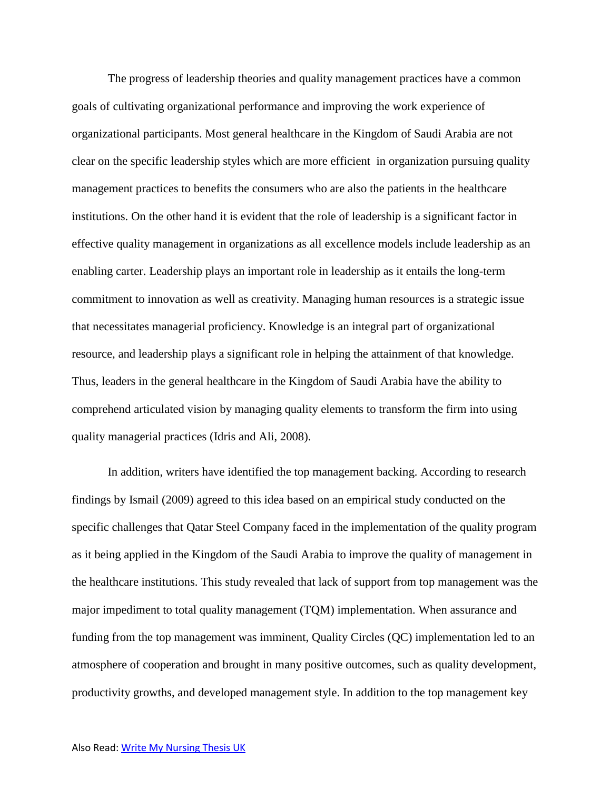The progress of leadership theories and quality management practices have a common goals of cultivating organizational performance and improving the work experience of organizational participants. Most general healthcare in the Kingdom of Saudi Arabia are not clear on the specific leadership styles which are more efficient in organization pursuing quality management practices to benefits the consumers who are also the patients in the healthcare institutions. On the other hand it is evident that the role of leadership is a significant factor in effective quality management in organizations as all excellence models include leadership as an enabling carter. Leadership plays an important role in leadership as it entails the long-term commitment to innovation as well as creativity. Managing human resources is a strategic issue that necessitates managerial proficiency. Knowledge is an integral part of organizational resource, and leadership plays a significant role in helping the attainment of that knowledge. Thus, leaders in the general healthcare in the Kingdom of Saudi Arabia have the ability to comprehend articulated vision by managing quality elements to transform the firm into using quality managerial practices (Idris and Ali, 2008).

In addition, writers have identified the top management backing. According to research findings by Ismail (2009) agreed to this idea based on an empirical study conducted on the specific challenges that Qatar Steel Company faced in the implementation of the quality program as it being applied in the Kingdom of the Saudi Arabia to improve the quality of management in the healthcare institutions. This study revealed that lack of support from top management was the major impediment to total quality management (TQM) implementation. When assurance and funding from the top management was imminent, Quality Circles (QC) implementation led to an atmosphere of cooperation and brought in many positive outcomes, such as quality development, productivity growths, and developed management style. In addition to the top management key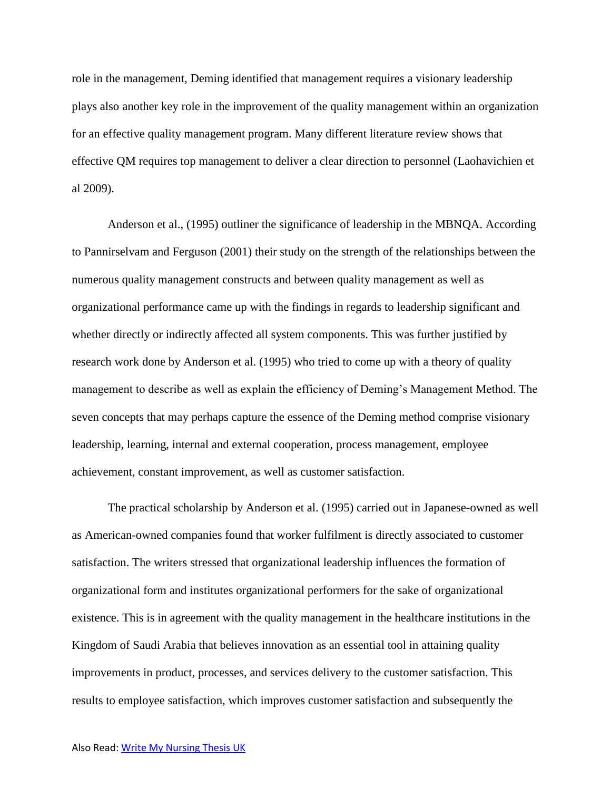role in the management, Deming identified that management requires a visionary leadership plays also another key role in the improvement of the quality management within an organization for an effective quality management program. Many different literature review shows that effective QM requires top management to deliver a clear direction to personnel (Laohavichien et al 2009).

Anderson et al., (1995) outliner the significance of leadership in the MBNQA. According to Pannirselvam and Ferguson (2001) their study on the strength of the relationships between the numerous quality management constructs and between quality management as well as organizational performance came up with the findings in regards to leadership significant and whether directly or indirectly affected all system components. This was further justified by research work done by Anderson et al. (1995) who tried to come up with a theory of quality management to describe as well as explain the efficiency of Deming's Management Method. The seven concepts that may perhaps capture the essence of the Deming method comprise visionary leadership, learning, internal and external cooperation, process management, employee achievement, constant improvement, as well as customer satisfaction.

The practical scholarship by Anderson et al. (1995) carried out in Japanese-owned as well as American-owned companies found that worker fulfilment is directly associated to customer satisfaction. The writers stressed that organizational leadership influences the formation of organizational form and institutes organizational performers for the sake of organizational existence. This is in agreement with the quality management in the healthcare institutions in the Kingdom of Saudi Arabia that believes innovation as an essential tool in attaining quality improvements in product, processes, and services delivery to the customer satisfaction. This results to employee satisfaction, which improves customer satisfaction and subsequently the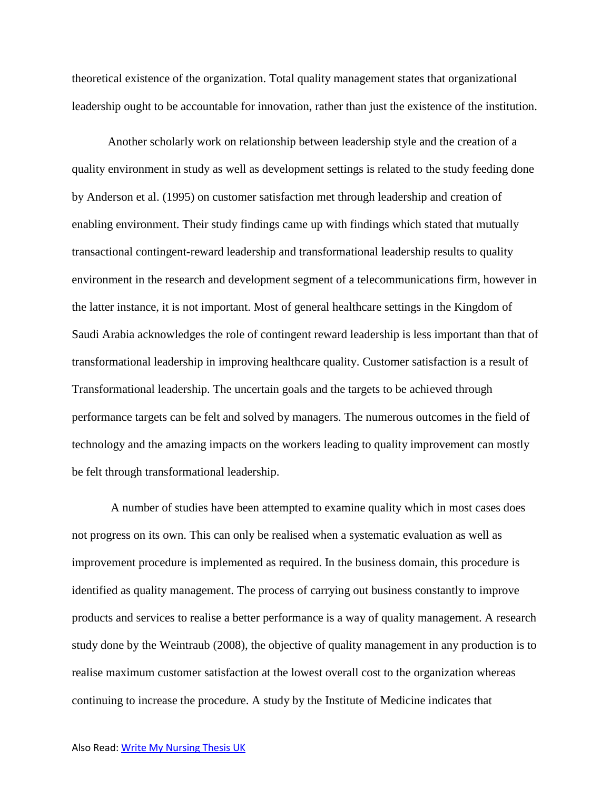theoretical existence of the organization. Total quality management states that organizational leadership ought to be accountable for innovation, rather than just the existence of the institution.

Another scholarly work on relationship between leadership style and the creation of a quality environment in study as well as development settings is related to the study feeding done by Anderson et al. (1995) on customer satisfaction met through leadership and creation of enabling environment. Their study findings came up with findings which stated that mutually transactional contingent-reward leadership and transformational leadership results to quality environment in the research and development segment of a telecommunications firm, however in the latter instance, it is not important. Most of general healthcare settings in the Kingdom of Saudi Arabia acknowledges the role of contingent reward leadership is less important than that of transformational leadership in improving healthcare quality. Customer satisfaction is a result of Transformational leadership. The uncertain goals and the targets to be achieved through performance targets can be felt and solved by managers. The numerous outcomes in the field of technology and the amazing impacts on the workers leading to quality improvement can mostly be felt through transformational leadership.

A number of studies have been attempted to examine quality which in most cases does not progress on its own. This can only be realised when a systematic evaluation as well as improvement procedure is implemented as required. In the business domain, this procedure is identified as quality management. The process of carrying out business constantly to improve products and services to realise a better performance is a way of quality management. A research study done by the Weintraub (2008), the objective of quality management in any production is to realise maximum customer satisfaction at the lowest overall cost to the organization whereas continuing to increase the procedure. A study by the Institute of Medicine indicates that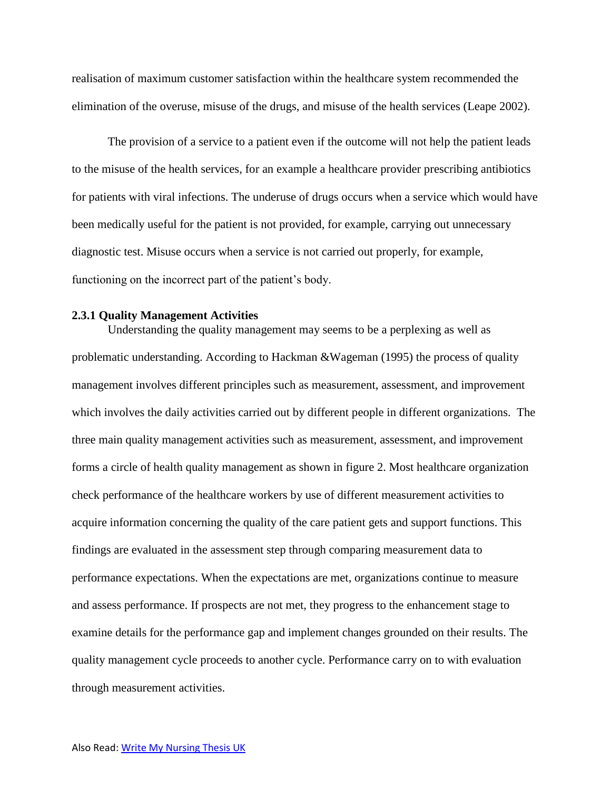realisation of maximum customer satisfaction within the healthcare system recommended the elimination of the overuse, misuse of the drugs, and misuse of the health services (Leape 2002).

The provision of a service to a patient even if the outcome will not help the patient leads to the misuse of the health services, for an example a healthcare provider prescribing antibiotics for patients with viral infections. The underuse of drugs occurs when a service which would have been medically useful for the patient is not provided, for example, carrying out unnecessary diagnostic test. Misuse occurs when a service is not carried out properly, for example, functioning on the incorrect part of the patient's body.

#### **2.3.1 Quality Management Activities**

Understanding the quality management may seems to be a perplexing as well as problematic understanding. According to Hackman &Wageman (1995) the process of quality management involves different principles such as measurement, assessment, and improvement which involves the daily activities carried out by different people in different organizations. The three main quality management activities such as measurement, assessment, and improvement forms a circle of health quality management as shown in figure 2. Most healthcare organization check performance of the healthcare workers by use of different measurement activities to acquire information concerning the quality of the care patient gets and support functions. This findings are evaluated in the assessment step through comparing measurement data to performance expectations. When the expectations are met, organizations continue to measure and assess performance. If prospects are not met, they progress to the enhancement stage to examine details for the performance gap and implement changes grounded on their results. The quality management cycle proceeds to another cycle. Performance carry on to with evaluation through measurement activities.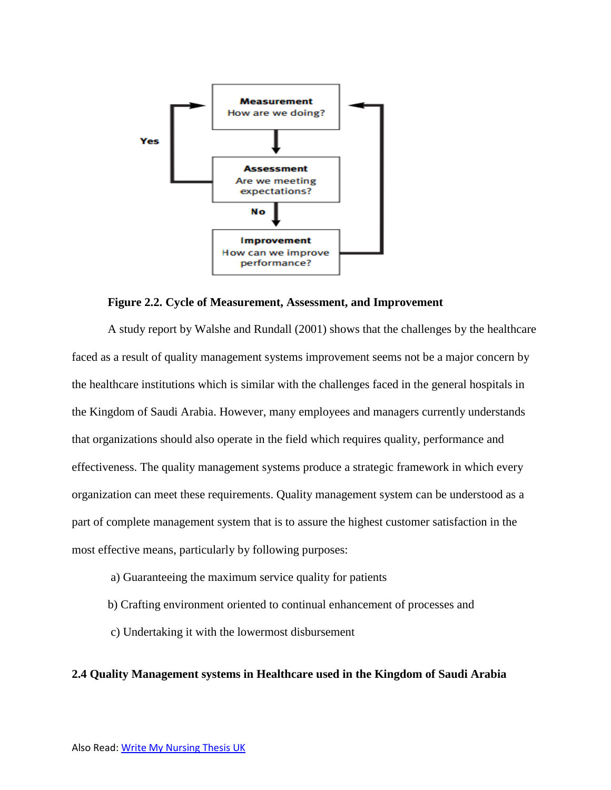

## **Figure 2.2. Cycle of Measurement, Assessment, and Improvement**

A study report by Walshe and Rundall (2001) shows that the challenges by the healthcare faced as a result of quality management systems improvement seems not be a major concern by the healthcare institutions which is similar with the challenges faced in the general hospitals in the Kingdom of Saudi Arabia. However, many employees and managers currently understands that organizations should also operate in the field which requires quality, performance and effectiveness. The quality management systems produce a strategic framework in which every organization can meet these requirements. Quality management system can be understood as a part of complete management system that is to assure the highest customer satisfaction in the most effective means, particularly by following purposes:

- a) Guaranteeing the maximum service quality for patients
- b) Crafting environment oriented to continual enhancement of processes and
- c) Undertaking it with the lowermost disbursement

## **2.4 Quality Management systems in Healthcare used in the Kingdom of Saudi Arabia**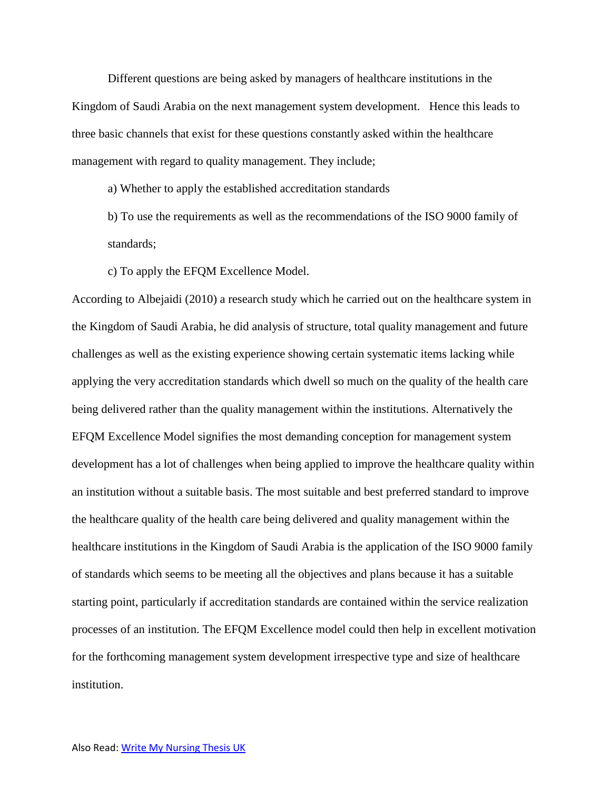Different questions are being asked by managers of healthcare institutions in the Kingdom of Saudi Arabia on the next management system development. Hence this leads to three basic channels that exist for these questions constantly asked within the healthcare management with regard to quality management. They include;

a) Whether to apply the established accreditation standards

b) To use the requirements as well as the recommendations of the ISO 9000 family of standards;

c) To apply the EFQM Excellence Model.

According to Albejaidi (2010) a research study which he carried out on the healthcare system in the Kingdom of Saudi Arabia, he did analysis of structure, total quality management and future challenges as well as the existing experience showing certain systematic items lacking while applying the very accreditation standards which dwell so much on the quality of the health care being delivered rather than the quality management within the institutions. Alternatively the EFQM Excellence Model signifies the most demanding conception for management system development has a lot of challenges when being applied to improve the healthcare quality within an institution without a suitable basis. The most suitable and best preferred standard to improve the healthcare quality of the health care being delivered and quality management within the healthcare institutions in the Kingdom of Saudi Arabia is the application of the ISO 9000 family of standards which seems to be meeting all the objectives and plans because it has a suitable starting point, particularly if accreditation standards are contained within the service realization processes of an institution. The EFQM Excellence model could then help in excellent motivation for the forthcoming management system development irrespective type and size of healthcare institution.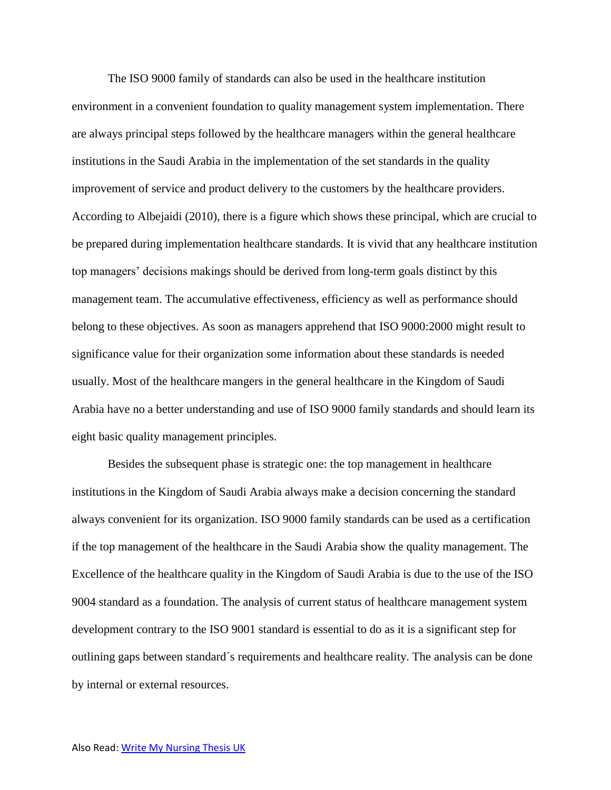The ISO 9000 family of standards can also be used in the healthcare institution environment in a convenient foundation to quality management system implementation. There are always principal steps followed by the healthcare managers within the general healthcare institutions in the Saudi Arabia in the implementation of the set standards in the quality improvement of service and product delivery to the customers by the healthcare providers. According to Albejaidi (2010), there is a figure which shows these principal, which are crucial to be prepared during implementation healthcare standards. It is vivid that any healthcare institution top managers' decisions makings should be derived from long-term goals distinct by this management team. The accumulative effectiveness, efficiency as well as performance should belong to these objectives. As soon as managers apprehend that ISO 9000:2000 might result to significance value for their organization some information about these standards is needed usually. Most of the healthcare mangers in the general healthcare in the Kingdom of Saudi Arabia have no a better understanding and use of ISO 9000 family standards and should learn its eight basic quality management principles.

Besides the subsequent phase is strategic one: the top management in healthcare institutions in the Kingdom of Saudi Arabia always make a decision concerning the standard always convenient for its organization. ISO 9000 family standards can be used as a certification if the top management of the healthcare in the Saudi Arabia show the quality management. The Excellence of the healthcare quality in the Kingdom of Saudi Arabia is due to the use of the ISO 9004 standard as a foundation. The analysis of current status of healthcare management system development contrary to the ISO 9001 standard is essential to do as it is a significant step for outlining gaps between standard´s requirements and healthcare reality. The analysis can be done by internal or external resources.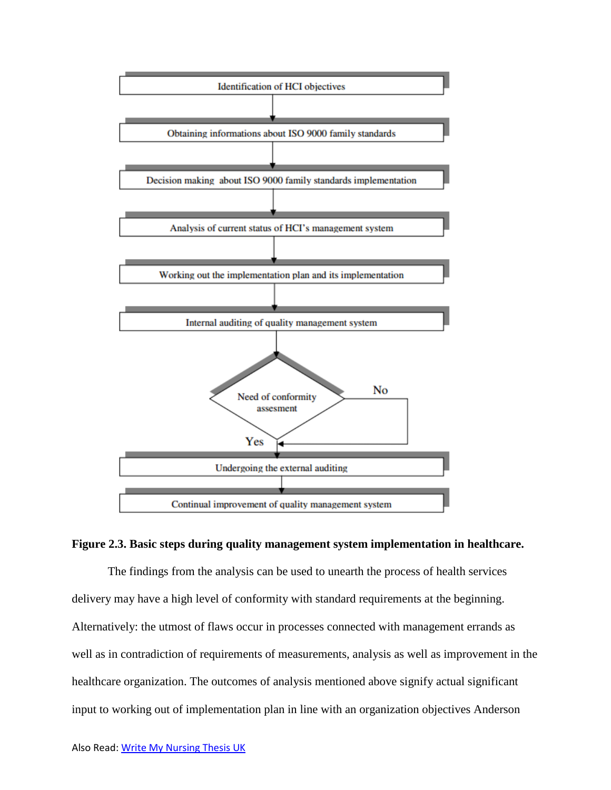

## **Figure 2.3. Basic steps during quality management system implementation in healthcare.**

The findings from the analysis can be used to unearth the process of health services delivery may have a high level of conformity with standard requirements at the beginning. Alternatively: the utmost of flaws occur in processes connected with management errands as well as in contradiction of requirements of measurements, analysis as well as improvement in the healthcare organization. The outcomes of analysis mentioned above signify actual significant input to working out of implementation plan in line with an organization objectives Anderson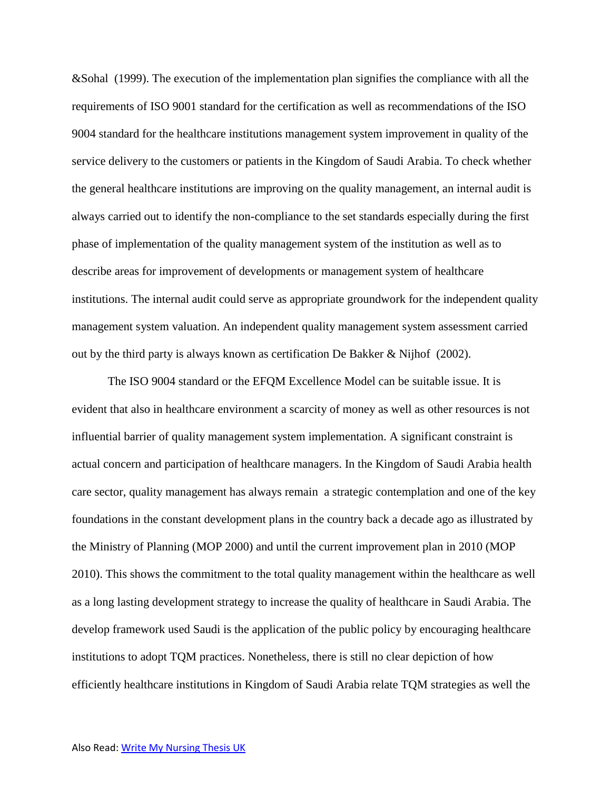&Sohal (1999). The execution of the implementation plan signifies the compliance with all the requirements of ISO 9001 standard for the certification as well as recommendations of the ISO 9004 standard for the healthcare institutions management system improvement in quality of the service delivery to the customers or patients in the Kingdom of Saudi Arabia. To check whether the general healthcare institutions are improving on the quality management, an internal audit is always carried out to identify the non-compliance to the set standards especially during the first phase of implementation of the quality management system of the institution as well as to describe areas for improvement of developments or management system of healthcare institutions. The internal audit could serve as appropriate groundwork for the independent quality management system valuation. An independent quality management system assessment carried out by the third party is always known as certification De Bakker & Nijhof (2002).

The ISO 9004 standard or the EFQM Excellence Model can be suitable issue. It is evident that also in healthcare environment a scarcity of money as well as other resources is not influential barrier of quality management system implementation. A significant constraint is actual concern and participation of healthcare managers. In the Kingdom of Saudi Arabia health care sector, quality management has always remain a strategic contemplation and one of the key foundations in the constant development plans in the country back a decade ago as illustrated by the Ministry of Planning (MOP 2000) and until the current improvement plan in 2010 (MOP 2010). This shows the commitment to the total quality management within the healthcare as well as a long lasting development strategy to increase the quality of healthcare in Saudi Arabia. The develop framework used Saudi is the application of the public policy by encouraging healthcare institutions to adopt TQM practices. Nonetheless, there is still no clear depiction of how efficiently healthcare institutions in Kingdom of Saudi Arabia relate TQM strategies as well the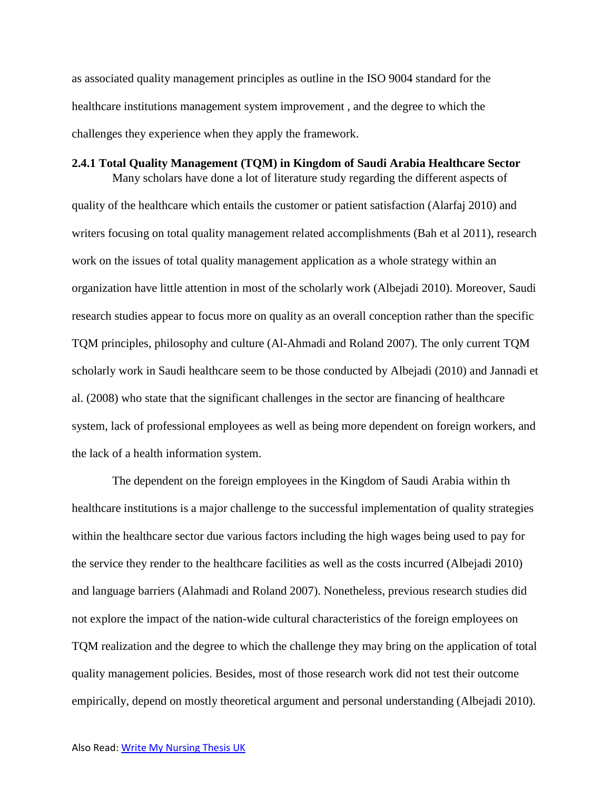as associated quality management principles as outline in the ISO 9004 standard for the healthcare institutions management system improvement , and the degree to which the challenges they experience when they apply the framework.

## **2.4.1 Total Quality Management (TQM) in Kingdom of Saudi Arabia Healthcare Sector**

Many scholars have done a lot of literature study regarding the different aspects of quality of the healthcare which entails the customer or patient satisfaction (Alarfaj 2010) and writers focusing on total quality management related accomplishments (Bah et al 2011), research work on the issues of total quality management application as a whole strategy within an organization have little attention in most of the scholarly work (Albejadi 2010). Moreover, Saudi research studies appear to focus more on quality as an overall conception rather than the specific TQM principles, philosophy and culture (Al-Ahmadi and Roland 2007). The only current TQM scholarly work in Saudi healthcare seem to be those conducted by Albejadi (2010) and Jannadi et al. (2008) who state that the significant challenges in the sector are financing of healthcare system, lack of professional employees as well as being more dependent on foreign workers, and the lack of a health information system.

The dependent on the foreign employees in the Kingdom of Saudi Arabia within th healthcare institutions is a major challenge to the successful implementation of quality strategies within the healthcare sector due various factors including the high wages being used to pay for the service they render to the healthcare facilities as well as the costs incurred (Albejadi 2010) and language barriers (Alahmadi and Roland 2007). Nonetheless, previous research studies did not explore the impact of the nation-wide cultural characteristics of the foreign employees on TQM realization and the degree to which the challenge they may bring on the application of total quality management policies. Besides, most of those research work did not test their outcome empirically, depend on mostly theoretical argument and personal understanding (Albejadi 2010).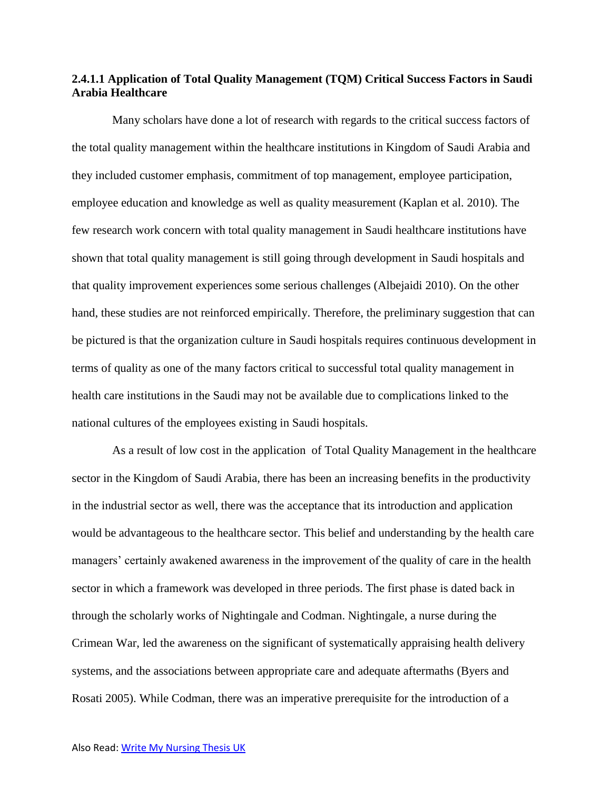# **2.4.1.1 Application of Total Quality Management (TQM) Critical Success Factors in Saudi Arabia Healthcare**

Many scholars have done a lot of research with regards to the critical success factors of the total quality management within the healthcare institutions in Kingdom of Saudi Arabia and they included customer emphasis, commitment of top management, employee participation, employee education and knowledge as well as quality measurement (Kaplan et al. 2010). The few research work concern with total quality management in Saudi healthcare institutions have shown that total quality management is still going through development in Saudi hospitals and that quality improvement experiences some serious challenges (Albejaidi 2010). On the other hand, these studies are not reinforced empirically. Therefore, the preliminary suggestion that can be pictured is that the organization culture in Saudi hospitals requires continuous development in terms of quality as one of the many factors critical to successful total quality management in health care institutions in the Saudi may not be available due to complications linked to the national cultures of the employees existing in Saudi hospitals.

As a result of low cost in the application of Total Quality Management in the healthcare sector in the Kingdom of Saudi Arabia, there has been an increasing benefits in the productivity in the industrial sector as well, there was the acceptance that its introduction and application would be advantageous to the healthcare sector. This belief and understanding by the health care managers' certainly awakened awareness in the improvement of the quality of care in the health sector in which a framework was developed in three periods. The first phase is dated back in through the scholarly works of Nightingale and Codman. Nightingale, a nurse during the Crimean War, led the awareness on the significant of systematically appraising health delivery systems, and the associations between appropriate care and adequate aftermaths (Byers and Rosati 2005). While Codman, there was an imperative prerequisite for the introduction of a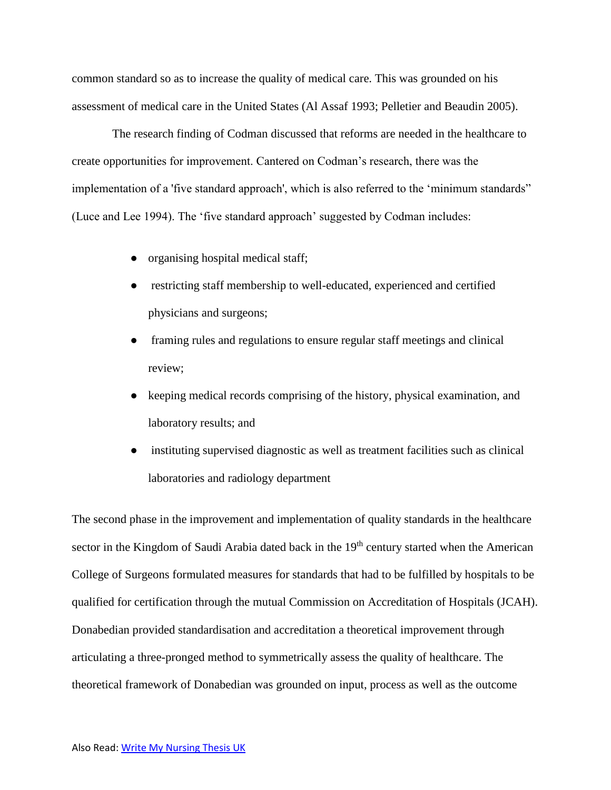common standard so as to increase the quality of medical care. This was grounded on his assessment of medical care in the United States (Al Assaf 1993; Pelletier and Beaudin 2005).

The research finding of Codman discussed that reforms are needed in the healthcare to create opportunities for improvement. Cantered on Codman's research, there was the implementation of a 'five standard approach', which is also referred to the 'minimum standards" (Luce and Lee 1994). The 'five standard approach' suggested by Codman includes:

- organising hospital medical staff;
- **•** restricting staff membership to well-educated, experienced and certified physicians and surgeons;
- framing rules and regulations to ensure regular staff meetings and clinical review;
- keeping medical records comprising of the history, physical examination, and laboratory results; and
- instituting supervised diagnostic as well as treatment facilities such as clinical laboratories and radiology department

The second phase in the improvement and implementation of quality standards in the healthcare sector in the Kingdom of Saudi Arabia dated back in the 19<sup>th</sup> century started when the American College of Surgeons formulated measures for standards that had to be fulfilled by hospitals to be qualified for certification through the mutual Commission on Accreditation of Hospitals (JCAH). Donabedian provided standardisation and accreditation a theoretical improvement through articulating a three-pronged method to symmetrically assess the quality of healthcare. The theoretical framework of Donabedian was grounded on input, process as well as the outcome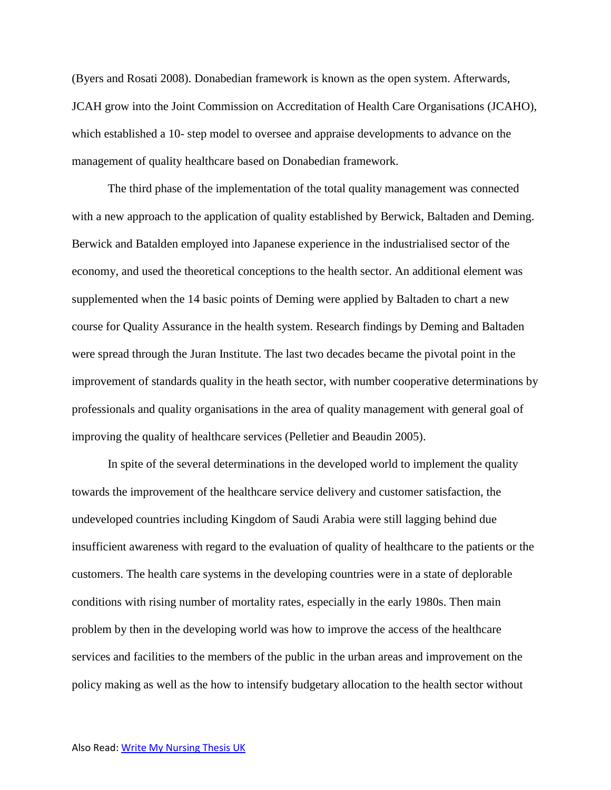(Byers and Rosati 2008). Donabedian framework is known as the open system. Afterwards, JCAH grow into the Joint Commission on Accreditation of Health Care Organisations (JCAHO), which established a 10- step model to oversee and appraise developments to advance on the management of quality healthcare based on Donabedian framework.

The third phase of the implementation of the total quality management was connected with a new approach to the application of quality established by Berwick, Baltaden and Deming. Berwick and Batalden employed into Japanese experience in the industrialised sector of the economy, and used the theoretical conceptions to the health sector. An additional element was supplemented when the 14 basic points of Deming were applied by Baltaden to chart a new course for Quality Assurance in the health system. Research findings by Deming and Baltaden were spread through the Juran Institute. The last two decades became the pivotal point in the improvement of standards quality in the heath sector, with number cooperative determinations by professionals and quality organisations in the area of quality management with general goal of improving the quality of healthcare services (Pelletier and Beaudin 2005).

In spite of the several determinations in the developed world to implement the quality towards the improvement of the healthcare service delivery and customer satisfaction, the undeveloped countries including Kingdom of Saudi Arabia were still lagging behind due insufficient awareness with regard to the evaluation of quality of healthcare to the patients or the customers. The health care systems in the developing countries were in a state of deplorable conditions with rising number of mortality rates, especially in the early 1980s. Then main problem by then in the developing world was how to improve the access of the healthcare services and facilities to the members of the public in the urban areas and improvement on the policy making as well as the how to intensify budgetary allocation to the health sector without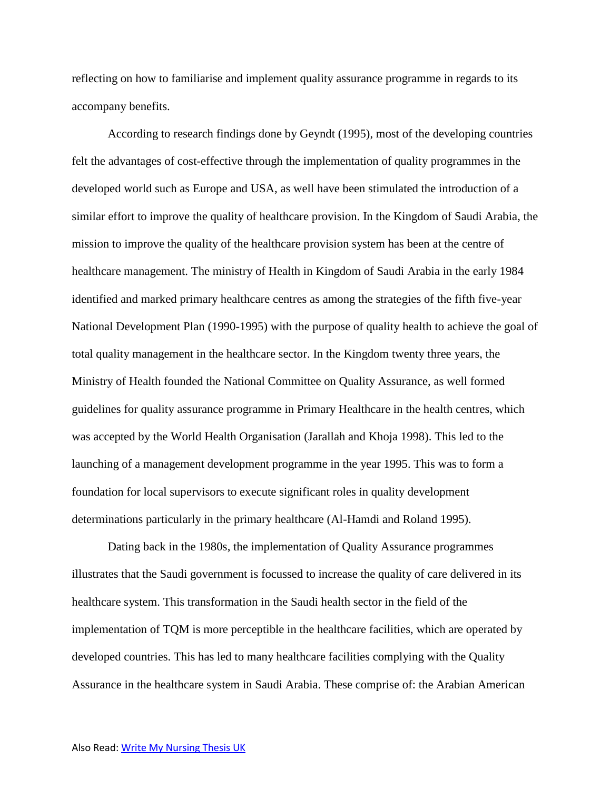reflecting on how to familiarise and implement quality assurance programme in regards to its accompany benefits.

According to research findings done by Geyndt (1995), most of the developing countries felt the advantages of cost-effective through the implementation of quality programmes in the developed world such as Europe and USA, as well have been stimulated the introduction of a similar effort to improve the quality of healthcare provision. In the Kingdom of Saudi Arabia, the mission to improve the quality of the healthcare provision system has been at the centre of healthcare management. The ministry of Health in Kingdom of Saudi Arabia in the early 1984 identified and marked primary healthcare centres as among the strategies of the fifth five-year National Development Plan (1990-1995) with the purpose of quality health to achieve the goal of total quality management in the healthcare sector. In the Kingdom twenty three years, the Ministry of Health founded the National Committee on Quality Assurance, as well formed guidelines for quality assurance programme in Primary Healthcare in the health centres, which was accepted by the World Health Organisation (Jarallah and Khoja 1998). This led to the launching of a management development programme in the year 1995. This was to form a foundation for local supervisors to execute significant roles in quality development determinations particularly in the primary healthcare (Al-Hamdi and Roland 1995).

Dating back in the 1980s, the implementation of Quality Assurance programmes illustrates that the Saudi government is focussed to increase the quality of care delivered in its healthcare system. This transformation in the Saudi health sector in the field of the implementation of TQM is more perceptible in the healthcare facilities, which are operated by developed countries. This has led to many healthcare facilities complying with the Quality Assurance in the healthcare system in Saudi Arabia. These comprise of: the Arabian American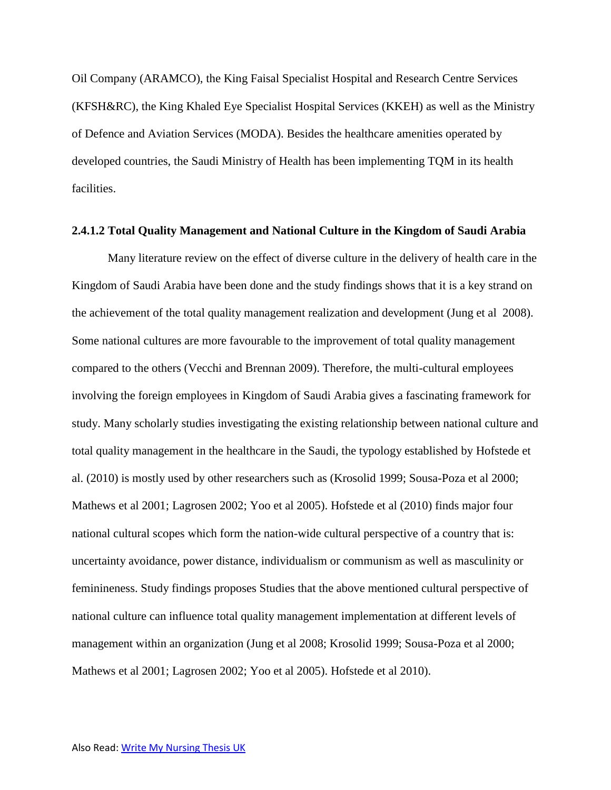Oil Company (ARAMCO), the King Faisal Specialist Hospital and Research Centre Services (KFSH&RC), the King Khaled Eye Specialist Hospital Services (KKEH) as well as the Ministry of Defence and Aviation Services (MODA). Besides the healthcare amenities operated by developed countries, the Saudi Ministry of Health has been implementing TQM in its health facilities.

## **2.4.1.2 Total Quality Management and National Culture in the Kingdom of Saudi Arabia**

Many literature review on the effect of diverse culture in the delivery of health care in the Kingdom of Saudi Arabia have been done and the study findings shows that it is a key strand on the achievement of the total quality management realization and development (Jung et al 2008). Some national cultures are more favourable to the improvement of total quality management compared to the others (Vecchi and Brennan 2009). Therefore, the multi-cultural employees involving the foreign employees in Kingdom of Saudi Arabia gives a fascinating framework for study. Many scholarly studies investigating the existing relationship between national culture and total quality management in the healthcare in the Saudi, the typology established by Hofstede et al. (2010) is mostly used by other researchers such as (Krosolid 1999; Sousa-Poza et al 2000; Mathews et al 2001; Lagrosen 2002; Yoo et al 2005). Hofstede et al (2010) finds major four national cultural scopes which form the nation-wide cultural perspective of a country that is: uncertainty avoidance, power distance, individualism or communism as well as masculinity or feminineness. Study findings proposes Studies that the above mentioned cultural perspective of national culture can influence total quality management implementation at different levels of management within an organization (Jung et al 2008; Krosolid 1999; Sousa-Poza et al 2000; Mathews et al 2001; Lagrosen 2002; Yoo et al 2005). Hofstede et al 2010).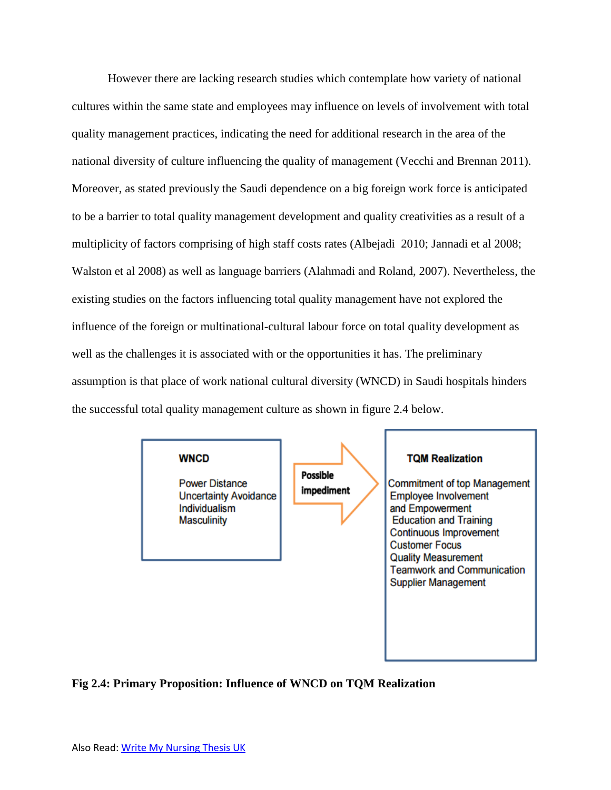However there are lacking research studies which contemplate how variety of national cultures within the same state and employees may influence on levels of involvement with total quality management practices, indicating the need for additional research in the area of the national diversity of culture influencing the quality of management (Vecchi and Brennan 2011). Moreover, as stated previously the Saudi dependence on a big foreign work force is anticipated to be a barrier to total quality management development and quality creativities as a result of a multiplicity of factors comprising of high staff costs rates (Albejadi 2010; Jannadi et al 2008; Walston et al 2008) as well as language barriers (Alahmadi and Roland, 2007). Nevertheless, the existing studies on the factors influencing total quality management have not explored the influence of the foreign or multinational-cultural labour force on total quality development as well as the challenges it is associated with or the opportunities it has. The preliminary assumption is that place of work national cultural diversity (WNCD) in Saudi hospitals hinders the successful total quality management culture as shown in figure 2.4 below.



# **Fig 2.4: Primary Proposition: Influence of WNCD on TQM Realization**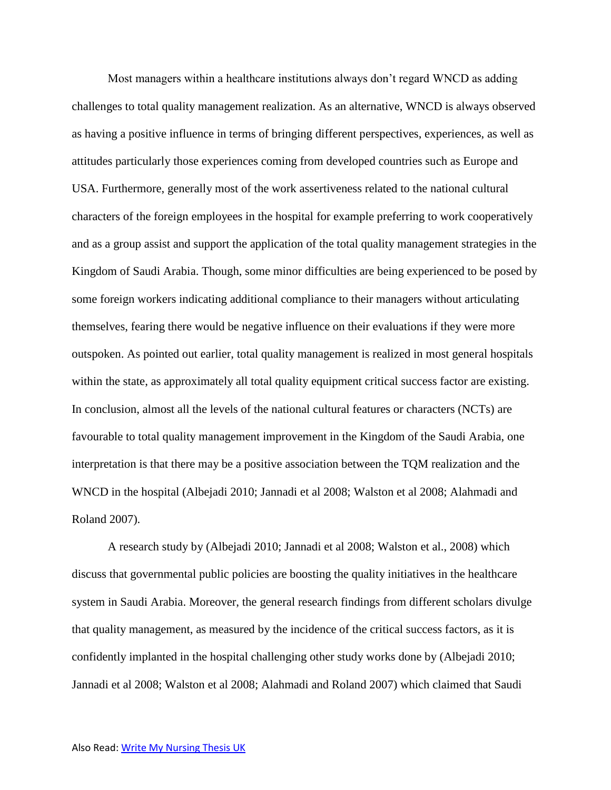Most managers within a healthcare institutions always don't regard WNCD as adding challenges to total quality management realization. As an alternative, WNCD is always observed as having a positive influence in terms of bringing different perspectives, experiences, as well as attitudes particularly those experiences coming from developed countries such as Europe and USA. Furthermore, generally most of the work assertiveness related to the national cultural characters of the foreign employees in the hospital for example preferring to work cooperatively and as a group assist and support the application of the total quality management strategies in the Kingdom of Saudi Arabia. Though, some minor difficulties are being experienced to be posed by some foreign workers indicating additional compliance to their managers without articulating themselves, fearing there would be negative influence on their evaluations if they were more outspoken. As pointed out earlier, total quality management is realized in most general hospitals within the state, as approximately all total quality equipment critical success factor are existing. In conclusion, almost all the levels of the national cultural features or characters (NCTs) are favourable to total quality management improvement in the Kingdom of the Saudi Arabia, one interpretation is that there may be a positive association between the TQM realization and the WNCD in the hospital (Albejadi 2010; Jannadi et al 2008; Walston et al 2008; Alahmadi and Roland 2007).

A research study by (Albejadi 2010; Jannadi et al 2008; Walston et al., 2008) which discuss that governmental public policies are boosting the quality initiatives in the healthcare system in Saudi Arabia. Moreover, the general research findings from different scholars divulge that quality management, as measured by the incidence of the critical success factors, as it is confidently implanted in the hospital challenging other study works done by (Albejadi 2010; Jannadi et al 2008; Walston et al 2008; Alahmadi and Roland 2007) which claimed that Saudi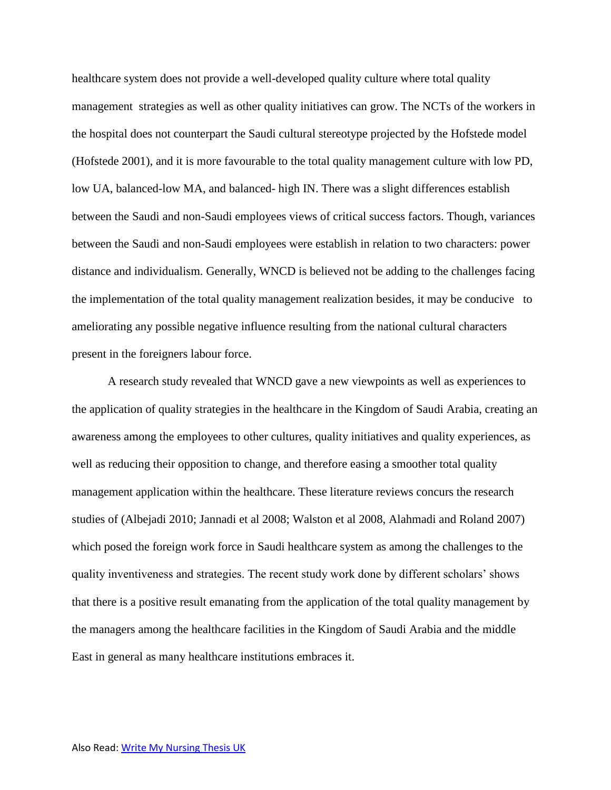healthcare system does not provide a well-developed quality culture where total quality management strategies as well as other quality initiatives can grow. The NCTs of the workers in the hospital does not counterpart the Saudi cultural stereotype projected by the Hofstede model (Hofstede 2001), and it is more favourable to the total quality management culture with low PD, low UA, balanced-low MA, and balanced- high IN. There was a slight differences establish between the Saudi and non-Saudi employees views of critical success factors. Though, variances between the Saudi and non-Saudi employees were establish in relation to two characters: power distance and individualism. Generally, WNCD is believed not be adding to the challenges facing the implementation of the total quality management realization besides, it may be conducive to ameliorating any possible negative influence resulting from the national cultural characters present in the foreigners labour force.

A research study revealed that WNCD gave a new viewpoints as well as experiences to the application of quality strategies in the healthcare in the Kingdom of Saudi Arabia, creating an awareness among the employees to other cultures, quality initiatives and quality experiences, as well as reducing their opposition to change, and therefore easing a smoother total quality management application within the healthcare. These literature reviews concurs the research studies of (Albejadi 2010; Jannadi et al 2008; Walston et al 2008, Alahmadi and Roland 2007) which posed the foreign work force in Saudi healthcare system as among the challenges to the quality inventiveness and strategies. The recent study work done by different scholars' shows that there is a positive result emanating from the application of the total quality management by the managers among the healthcare facilities in the Kingdom of Saudi Arabia and the middle East in general as many healthcare institutions embraces it.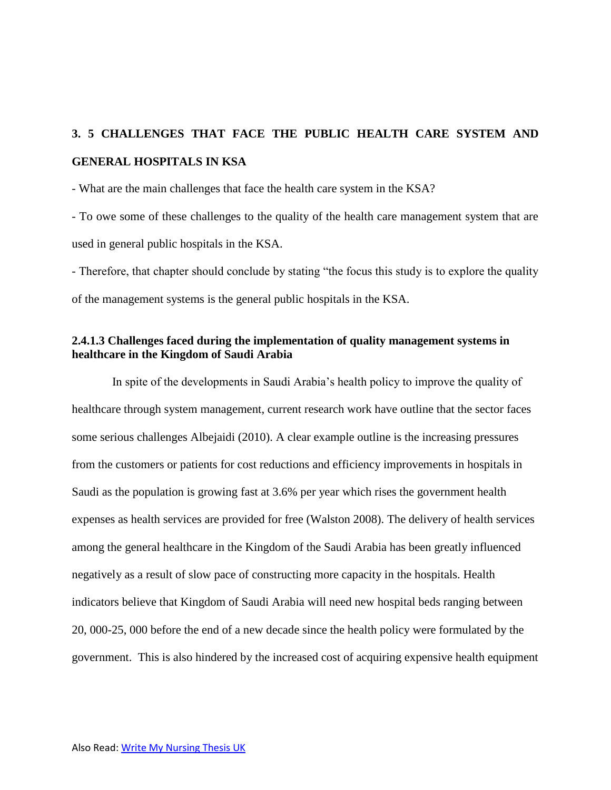# **3. 5 CHALLENGES THAT FACE THE PUBLIC HEALTH CARE SYSTEM AND GENERAL HOSPITALS IN KSA**

- What are the main challenges that face the health care system in the KSA?

- To owe some of these challenges to the quality of the health care management system that are used in general public hospitals in the KSA.

- Therefore, that chapter should conclude by stating "the focus this study is to explore the quality of the management systems is the general public hospitals in the KSA.

# **2.4.1.3 Challenges faced during the implementation of quality management systems in healthcare in the Kingdom of Saudi Arabia**

In spite of the developments in Saudi Arabia's health policy to improve the quality of healthcare through system management, current research work have outline that the sector faces some serious challenges Albejaidi (2010). A clear example outline is the increasing pressures from the customers or patients for cost reductions and efficiency improvements in hospitals in Saudi as the population is growing fast at 3.6% per year which rises the government health expenses as health services are provided for free (Walston 2008). The delivery of health services among the general healthcare in the Kingdom of the Saudi Arabia has been greatly influenced negatively as a result of slow pace of constructing more capacity in the hospitals. Health indicators believe that Kingdom of Saudi Arabia will need new hospital beds ranging between 20, 000-25, 000 before the end of a new decade since the health policy were formulated by the government. This is also hindered by the increased cost of acquiring expensive health equipment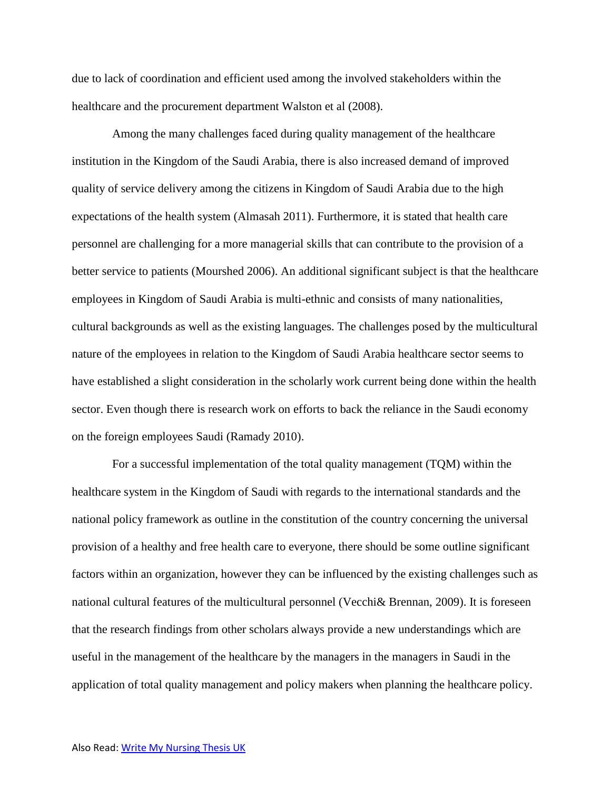due to lack of coordination and efficient used among the involved stakeholders within the healthcare and the procurement department Walston et al (2008).

Among the many challenges faced during quality management of the healthcare institution in the Kingdom of the Saudi Arabia, there is also increased demand of improved quality of service delivery among the citizens in Kingdom of Saudi Arabia due to the high expectations of the health system (Almasah 2011). Furthermore, it is stated that health care personnel are challenging for a more managerial skills that can contribute to the provision of a better service to patients (Mourshed 2006). An additional significant subject is that the healthcare employees in Kingdom of Saudi Arabia is multi-ethnic and consists of many nationalities, cultural backgrounds as well as the existing languages. The challenges posed by the multicultural nature of the employees in relation to the Kingdom of Saudi Arabia healthcare sector seems to have established a slight consideration in the scholarly work current being done within the health sector. Even though there is research work on efforts to back the reliance in the Saudi economy on the foreign employees Saudi (Ramady 2010).

For a successful implementation of the total quality management (TQM) within the healthcare system in the Kingdom of Saudi with regards to the international standards and the national policy framework as outline in the constitution of the country concerning the universal provision of a healthy and free health care to everyone, there should be some outline significant factors within an organization, however they can be influenced by the existing challenges such as national cultural features of the multicultural personnel (Vecchi& Brennan, 2009). It is foreseen that the research findings from other scholars always provide a new understandings which are useful in the management of the healthcare by the managers in the managers in Saudi in the application of total quality management and policy makers when planning the healthcare policy.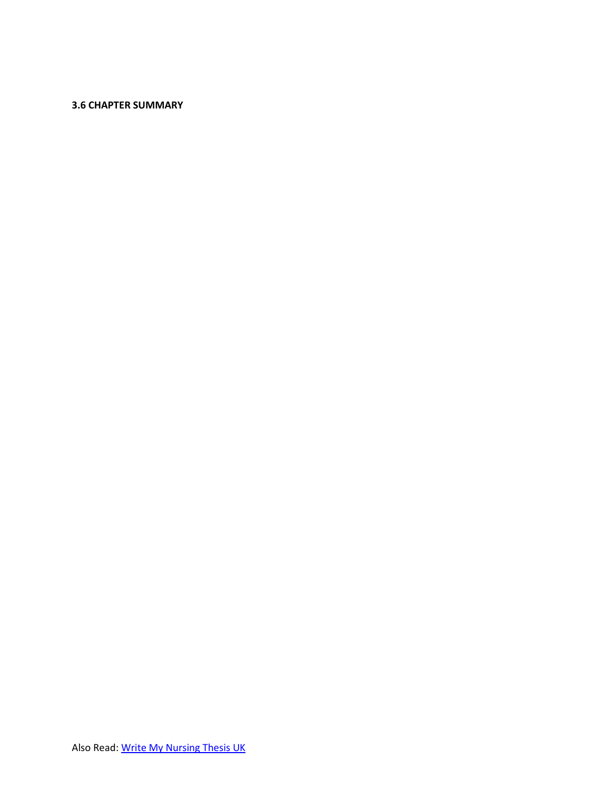## **3.6 CHAPTER SUMMARY**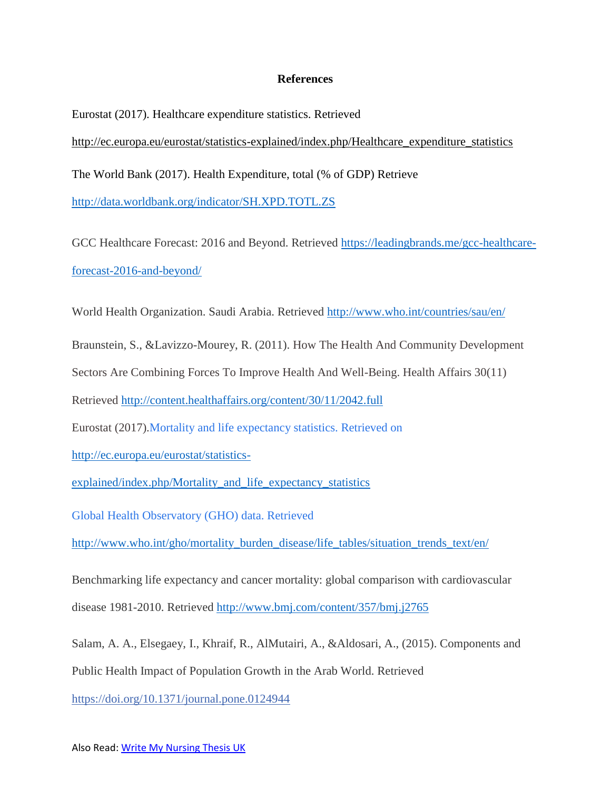## **References**

Eurostat (2017). Healthcare expenditure statistics. Retrieved [http://ec.europa.eu/eurostat/statistics-explained/index.php/Healthcare\\_expenditure\\_statistics](http://ec.europa.eu/eurostat/statistics-explained/index.php/Healthcare_expenditure_statistics) The World Bank (2017). Health Expenditure, total (% of GDP) Retrieve <http://data.worldbank.org/indicator/SH.XPD.TOTL.ZS>

GCC Healthcare Forecast: 2016 and Beyond. Retrieved [https://leadingbrands.me/gcc-healthcare](https://leadingbrands.me/gcc-healthcare-forecast-2016-and-beyond/)[forecast-2016-and-beyond/](https://leadingbrands.me/gcc-healthcare-forecast-2016-and-beyond/)

World Health Organization. Saudi Arabia. Retrieved<http://www.who.int/countries/sau/en/>

Braunstein, S., &Lavizzo-Mourey, R. (2011). How The Health And Community Development

Sectors Are Combining Forces To Improve Health And Well-Being. Health Affairs 30(11)

Retrieved<http://content.healthaffairs.org/content/30/11/2042.full>

Eurostat (2017).Mortality and life expectancy statistics. Retrieved on

[http://ec.europa.eu/eurostat/statistics-](http://ec.europa.eu/eurostat/statistics-explained/index.php/Mortality_and_life_expectancy_statistics)

[explained/index.php/Mortality\\_and\\_life\\_expectancy\\_statistics](http://ec.europa.eu/eurostat/statistics-explained/index.php/Mortality_and_life_expectancy_statistics)

Global Health Observatory (GHO) data. Retrieved

[http://www.who.int/gho/mortality\\_burden\\_disease/life\\_tables/situation\\_trends\\_text/en/](http://www.who.int/gho/mortality_burden_disease/life_tables/situation_trends_text/en/)

Benchmarking life expectancy and cancer mortality: global comparison with cardiovascular disease 1981-2010. Retrieved<http://www.bmj.com/content/357/bmj.j2765>

Salam, A. A., Elsegaey, I., Khraif, R., AlMutairi, A., &Aldosari, A., (2015). Components and Public Health Impact of Population Growth in the Arab World. Retrieved

<https://doi.org/10.1371/journal.pone.0124944>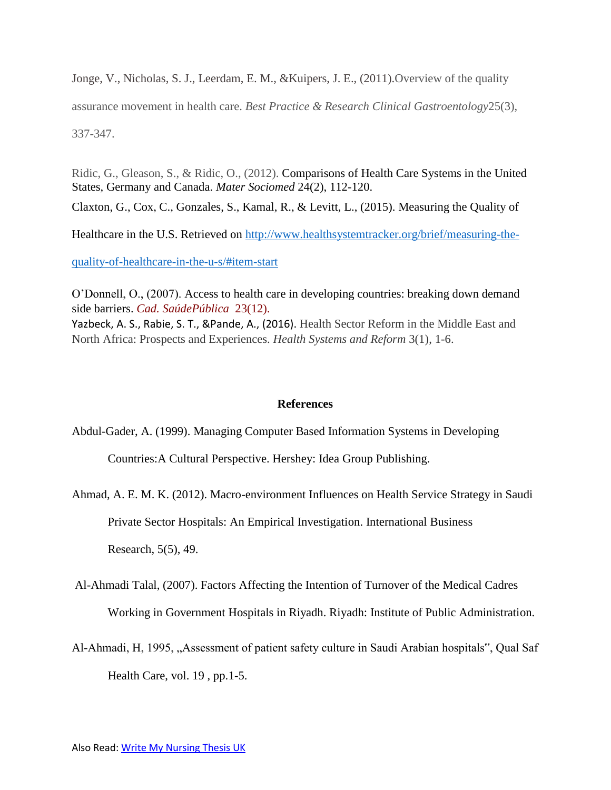Jonge, V., Nicholas, S. J., Leerdam, E. M., &Kuipers, J. E., (2011).Overview of the quality assurance movement in health care. *Best Practice & Research Clinical Gastroentology*25(3), 337-347.

Ridic, G., Gleason, S., & Ridic, O., (2012). Comparisons of Health Care Systems in the United States, Germany and Canada. *Mater Sociomed* 24(2), 112-120.

Claxton, G., Cox, C., Gonzales, S., Kamal, R., & Levitt, L., (2015). Measuring the Quality of

Healthcare in the U.S. Retrieved on [http://www.healthsystemtracker.org/brief/measuring-the-](http://www.healthsystemtracker.org/brief/measuring-the-quality-of-healthcare-in-the-u-s/#item-start)

[quality-of-healthcare-in-the-u-s/#item-start](http://www.healthsystemtracker.org/brief/measuring-the-quality-of-healthcare-in-the-u-s/#item-start)

O'Donnell, O., (2007). Access to health care in developing countries: breaking down demand side barriers. *Cad. SaúdePública* 23(12). Yazbeck, A. S., Rabie, S. T., &Pande, A., (2016). Health Sector Reform in the Middle East and

North Africa: Prospects and Experiences. *Health Systems and Reform* 3(1), 1-6.

# **References**

Abdul-Gader, A. (1999). Managing Computer Based Information Systems in Developing

Countries:A Cultural Perspective. Hershey: Idea Group Publishing.

Ahmad, A. E. M. K. (2012). Macro-environment Influences on Health Service Strategy in Saudi Private Sector Hospitals: An Empirical Investigation. International Business Research, 5(5), 49.

Al-Ahmadi Talal, (2007). Factors Affecting the Intention of Turnover of the Medical Cadres Working in Government Hospitals in Riyadh. Riyadh: Institute of Public Administration.

Al-Ahmadi, H, 1995, "Assessment of patient safety culture in Saudi Arabian hospitals", Qual Saf Health Care, vol. 19 , pp.1-5.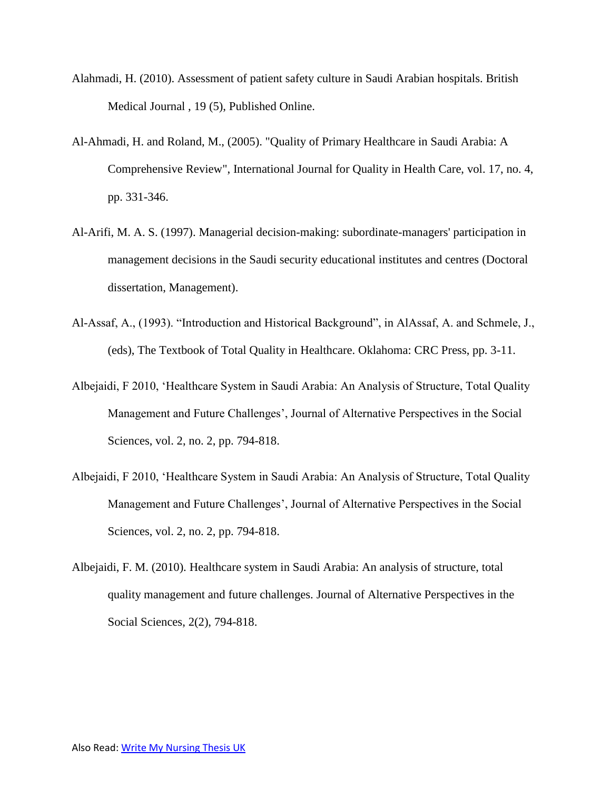- Alahmadi, H. (2010). Assessment of patient safety culture in Saudi Arabian hospitals. British Medical Journal , 19 (5), Published Online.
- Al-Ahmadi, H. and Roland, M., (2005). "Quality of Primary Healthcare in Saudi Arabia: A Comprehensive Review", International Journal for Quality in Health Care, vol. 17, no. 4, pp. 331-346.
- Al-Arifi, M. A. S. (1997). Managerial decision-making: subordinate-managers' participation in management decisions in the Saudi security educational institutes and centres (Doctoral dissertation, Management).
- Al-Assaf, A., (1993). "Introduction and Historical Background", in AlAssaf, A. and Schmele, J., (eds), The Textbook of Total Quality in Healthcare. Oklahoma: CRC Press, pp. 3-11.
- Albejaidi, F 2010, 'Healthcare System in Saudi Arabia: An Analysis of Structure, Total Quality Management and Future Challenges', Journal of Alternative Perspectives in the Social Sciences, vol. 2, no. 2, pp. 794-818.
- Albejaidi, F 2010, 'Healthcare System in Saudi Arabia: An Analysis of Structure, Total Quality Management and Future Challenges', Journal of Alternative Perspectives in the Social Sciences, vol. 2, no. 2, pp. 794-818.
- Albejaidi, F. M. (2010). Healthcare system in Saudi Arabia: An analysis of structure, total quality management and future challenges. Journal of Alternative Perspectives in the Social Sciences, 2(2), 794-818.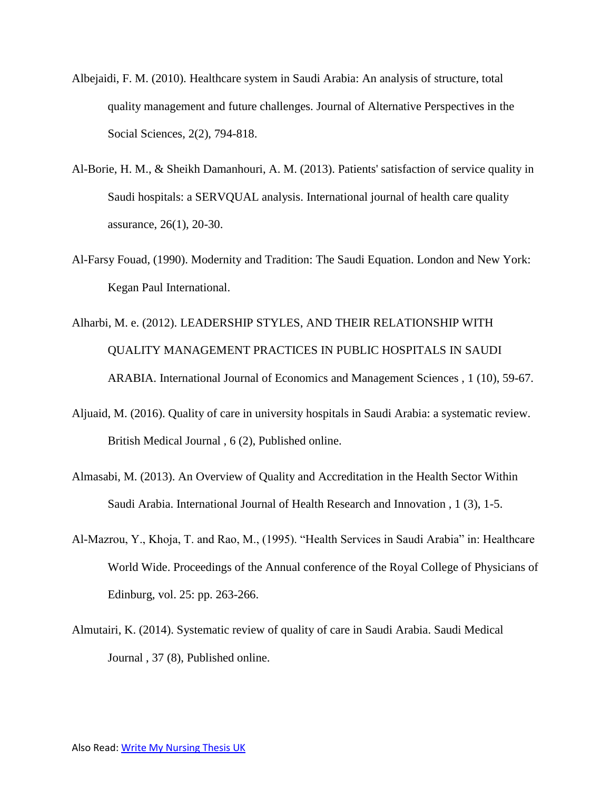- Albejaidi, F. M. (2010). Healthcare system in Saudi Arabia: An analysis of structure, total quality management and future challenges. Journal of Alternative Perspectives in the Social Sciences, 2(2), 794-818.
- Al-Borie, H. M., & Sheikh Damanhouri, A. M. (2013). Patients' satisfaction of service quality in Saudi hospitals: a SERVQUAL analysis. International journal of health care quality assurance, 26(1), 20-30.
- Al-Farsy Fouad, (1990). Modernity and Tradition: The Saudi Equation. London and New York: Kegan Paul International.
- Alharbi, M. e. (2012). LEADERSHIP STYLES, AND THEIR RELATIONSHIP WITH QUALITY MANAGEMENT PRACTICES IN PUBLIC HOSPITALS IN SAUDI ARABIA. International Journal of Economics and Management Sciences , 1 (10), 59-67.
- Aljuaid, M. (2016). Quality of care in university hospitals in Saudi Arabia: a systematic review. British Medical Journal , 6 (2), Published online.
- Almasabi, M. (2013). An Overview of Quality and Accreditation in the Health Sector Within Saudi Arabia. International Journal of Health Research and Innovation , 1 (3), 1-5.
- Al-Mazrou, Y., Khoja, T. and Rao, M., (1995). "Health Services in Saudi Arabia" in: Healthcare World Wide. Proceedings of the Annual conference of the Royal College of Physicians of Edinburg, vol. 25: pp. 263-266.
- Almutairi, K. (2014). Systematic review of quality of care in Saudi Arabia. Saudi Medical Journal , 37 (8), Published online.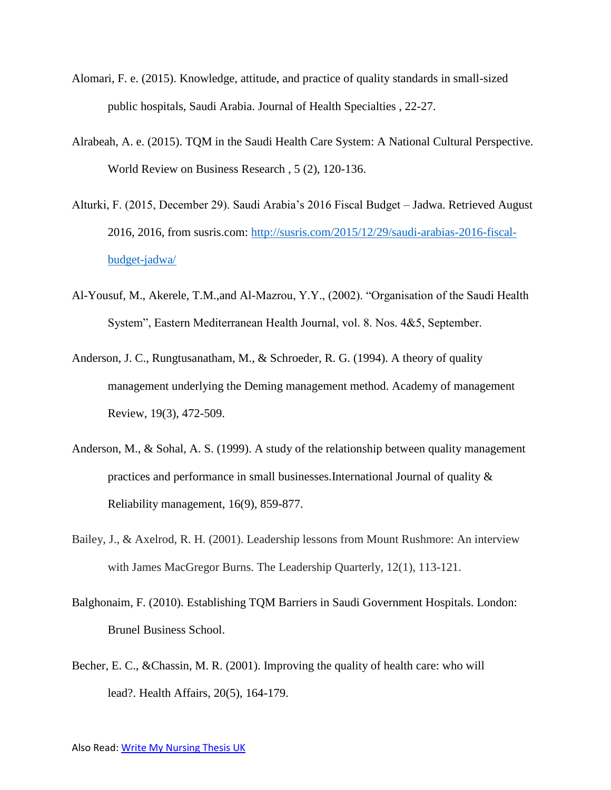- Alomari, F. e. (2015). Knowledge, attitude, and practice of quality standards in small-sized public hospitals, Saudi Arabia. Journal of Health Specialties , 22-27.
- Alrabeah, A. e. (2015). TQM in the Saudi Health Care System: A National Cultural Perspective. World Review on Business Research , 5 (2), 120-136.
- Alturki, F. (2015, December 29). Saudi Arabia's 2016 Fiscal Budget Jadwa. Retrieved August 2016, 2016, from susris.com: [http://susris.com/2015/12/29/saudi-arabias-2016-fiscal](http://susris.com/2015/12/29/saudi-arabias-2016-fiscal-budget-jadwa/)[budget-jadwa/](http://susris.com/2015/12/29/saudi-arabias-2016-fiscal-budget-jadwa/)
- Al-Yousuf, M., Akerele, T.M.,and Al-Mazrou, Y.Y., (2002). "Organisation of the Saudi Health System", Eastern Mediterranean Health Journal, vol. 8. Nos. 4&5, September.
- Anderson, J. C., Rungtusanatham, M., & Schroeder, R. G. (1994). A theory of quality management underlying the Deming management method. Academy of management Review, 19(3), 472-509.
- Anderson, M., & Sohal, A. S. (1999). A study of the relationship between quality management practices and performance in small businesses.International Journal of quality & Reliability management, 16(9), 859-877.
- Bailey, J., & Axelrod, R. H. (2001). Leadership lessons from Mount Rushmore: An interview with James MacGregor Burns. The Leadership Quarterly, 12(1), 113-121.
- Balghonaim, F. (2010). Establishing TQM Barriers in Saudi Government Hospitals. London: Brunel Business School.
- Becher, E. C., &Chassin, M. R. (2001). Improving the quality of health care: who will lead?. Health Affairs, 20(5), 164-179.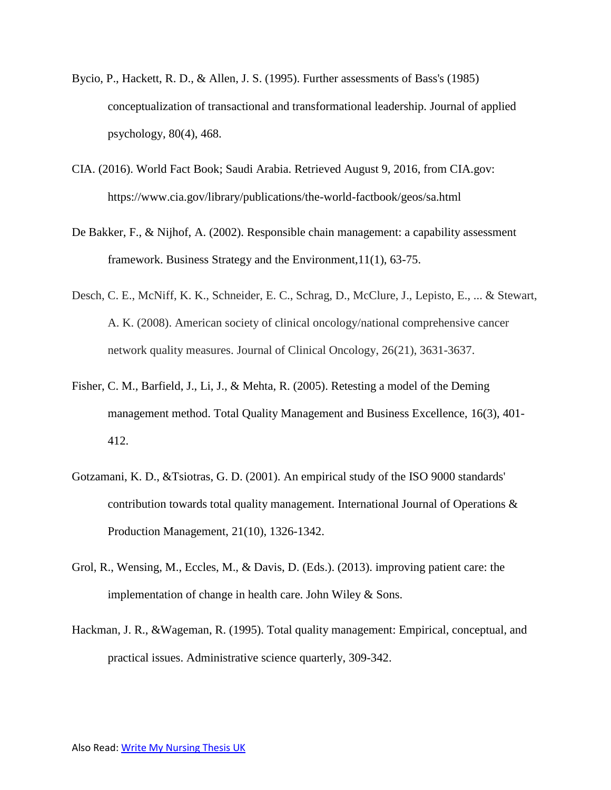- Bycio, P., Hackett, R. D., & Allen, J. S. (1995). Further assessments of Bass's (1985) conceptualization of transactional and transformational leadership. Journal of applied psychology, 80(4), 468.
- CIA. (2016). World Fact Book; Saudi Arabia. Retrieved August 9, 2016, from CIA.gov: https://www.cia.gov/library/publications/the-world-factbook/geos/sa.html
- De Bakker, F., & Nijhof, A. (2002). Responsible chain management: a capability assessment framework. Business Strategy and the Environment,11(1), 63-75.
- Desch, C. E., McNiff, K. K., Schneider, E. C., Schrag, D., McClure, J., Lepisto, E., ... & Stewart, A. K. (2008). American society of clinical oncology/national comprehensive cancer network quality measures. Journal of Clinical Oncology, 26(21), 3631-3637.
- Fisher, C. M., Barfield, J., Li, J., & Mehta, R. (2005). Retesting a model of the Deming management method. Total Quality Management and Business Excellence, 16(3), 401- 412.
- Gotzamani, K. D., &Tsiotras, G. D. (2001). An empirical study of the ISO 9000 standards' contribution towards total quality management. International Journal of Operations & Production Management, 21(10), 1326-1342.
- Grol, R., Wensing, M., Eccles, M., & Davis, D. (Eds.). (2013). improving patient care: the implementation of change in health care. John Wiley & Sons.
- Hackman, J. R., &Wageman, R. (1995). Total quality management: Empirical, conceptual, and practical issues. Administrative science quarterly, 309-342.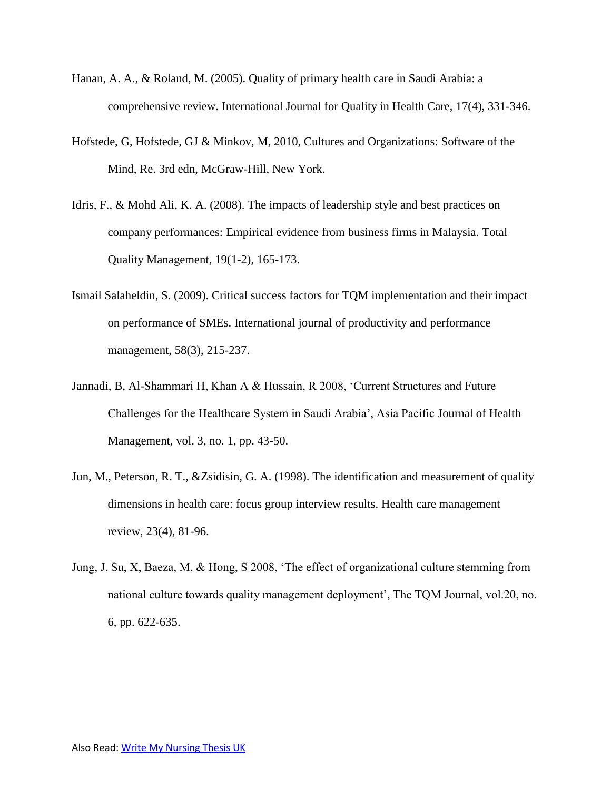- Hanan, A. A., & Roland, M. (2005). Quality of primary health care in Saudi Arabia: a comprehensive review. International Journal for Quality in Health Care, 17(4), 331-346.
- Hofstede, G, Hofstede, GJ & Minkov, M, 2010, Cultures and Organizations: Software of the Mind, Re. 3rd edn, McGraw-Hill, New York.
- Idris, F., & Mohd Ali, K. A. (2008). The impacts of leadership style and best practices on company performances: Empirical evidence from business firms in Malaysia. Total Quality Management, 19(1-2), 165-173.
- Ismail Salaheldin, S. (2009). Critical success factors for TQM implementation and their impact on performance of SMEs. International journal of productivity and performance management, 58(3), 215-237.
- Jannadi, B, Al-Shammari H, Khan A & Hussain, R 2008, 'Current Structures and Future Challenges for the Healthcare System in Saudi Arabia', Asia Pacific Journal of Health Management, vol. 3, no. 1, pp. 43-50.
- Jun, M., Peterson, R. T., &Zsidisin, G. A. (1998). The identification and measurement of quality dimensions in health care: focus group interview results. Health care management review, 23(4), 81-96.
- Jung, J, Su, X, Baeza, M, & Hong, S 2008, 'The effect of organizational culture stemming from national culture towards quality management deployment', The TQM Journal, vol.20, no. 6, pp. 622-635.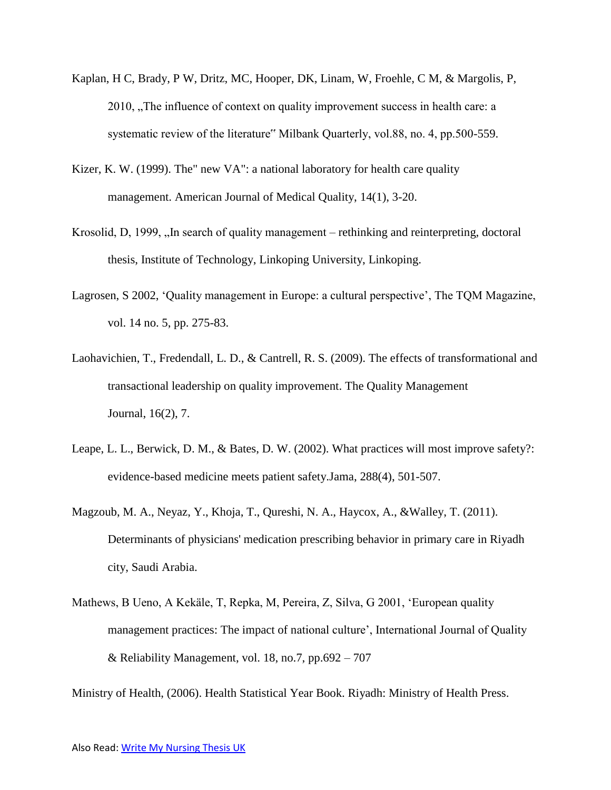- Kaplan, H C, Brady, P W, Dritz, MC, Hooper, DK, Linam, W, Froehle, C M, & Margolis, P, 2010, "The influence of context on quality improvement success in health care: a systematic review of the literature" Milbank Quarterly, vol.88, no. 4, pp.500-559.
- Kizer, K. W. (1999). The" new VA": a national laboratory for health care quality management. American Journal of Medical Quality, 14(1), 3-20.
- Krosolid, D, 1999, "In search of quality management rethinking and reinterpreting, doctoral thesis, Institute of Technology, Linkoping University, Linkoping.
- Lagrosen, S 2002, 'Quality management in Europe: a cultural perspective', The TQM Magazine, vol. 14 no. 5, pp. 275-83.
- Laohavichien, T., Fredendall, L. D., & Cantrell, R. S. (2009). The effects of transformational and transactional leadership on quality improvement. The Quality Management Journal, 16(2), 7.
- Leape, L. L., Berwick, D. M., & Bates, D. W. (2002). What practices will most improve safety?: evidence-based medicine meets patient safety.Jama, 288(4), 501-507.
- Magzoub, M. A., Neyaz, Y., Khoja, T., Qureshi, N. A., Haycox, A., &Walley, T. (2011). Determinants of physicians' medication prescribing behavior in primary care in Riyadh city, Saudi Arabia.
- Mathews, B Ueno, A Kekäle, T, Repka, M, Pereira, Z, Silva, G 2001, 'European quality management practices: The impact of national culture', International Journal of Quality & Reliability Management, vol. 18, no.7, pp.692 – 707

Ministry of Health, (2006). Health Statistical Year Book. Riyadh: Ministry of Health Press.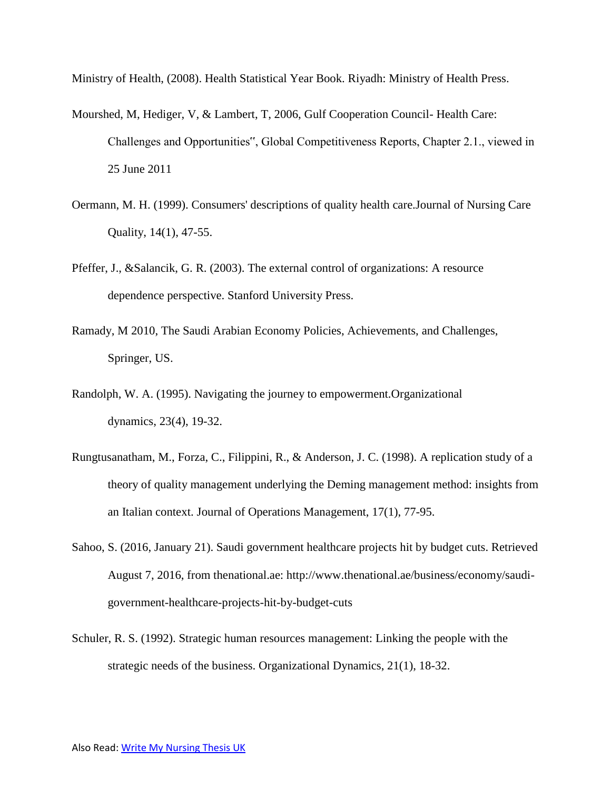Ministry of Health, (2008). Health Statistical Year Book. Riyadh: Ministry of Health Press.

- Mourshed, M, Hediger, V, & Lambert, T, 2006, Gulf Cooperation Council- Health Care: Challenges and Opportunities", Global Competitiveness Reports, Chapter 2.1., viewed in 25 June 2011
- Oermann, M. H. (1999). Consumers' descriptions of quality health care.Journal of Nursing Care Quality, 14(1), 47-55.
- Pfeffer, J., &Salancik, G. R. (2003). The external control of organizations: A resource dependence perspective. Stanford University Press.
- Ramady, M 2010, The Saudi Arabian Economy Policies, Achievements, and Challenges, Springer, US.
- Randolph, W. A. (1995). Navigating the journey to empowerment.Organizational dynamics, 23(4), 19-32.
- Rungtusanatham, M., Forza, C., Filippini, R., & Anderson, J. C. (1998). A replication study of a theory of quality management underlying the Deming management method: insights from an Italian context. Journal of Operations Management, 17(1), 77-95.
- Sahoo, S. (2016, January 21). Saudi government healthcare projects hit by budget cuts. Retrieved August 7, 2016, from thenational.ae: http://www.thenational.ae/business/economy/saudigovernment-healthcare-projects-hit-by-budget-cuts
- Schuler, R. S. (1992). Strategic human resources management: Linking the people with the strategic needs of the business. Organizational Dynamics, 21(1), 18-32.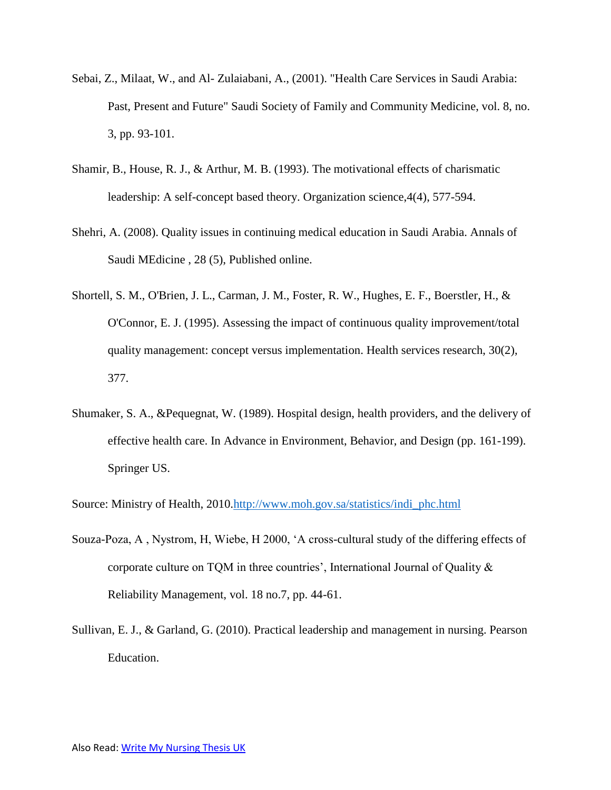- Sebai, Z., Milaat, W., and Al- Zulaiabani, A., (2001). "Health Care Services in Saudi Arabia: Past, Present and Future" Saudi Society of Family and Community Medicine, vol. 8, no. 3, pp. 93-101.
- Shamir, B., House, R. J., & Arthur, M. B. (1993). The motivational effects of charismatic leadership: A self-concept based theory. Organization science,4(4), 577-594.
- Shehri, A. (2008). Quality issues in continuing medical education in Saudi Arabia. Annals of Saudi MEdicine , 28 (5), Published online.
- Shortell, S. M., O'Brien, J. L., Carman, J. M., Foster, R. W., Hughes, E. F., Boerstler, H., & O'Connor, E. J. (1995). Assessing the impact of continuous quality improvement/total quality management: concept versus implementation. Health services research, 30(2), 377.
- Shumaker, S. A., &Pequegnat, W. (1989). Hospital design, health providers, and the delivery of effective health care. In Advance in Environment, Behavior, and Design (pp. 161-199). Springer US.
- Source: Ministry of Health, 2010[.http://www.moh.gov.sa/statistics/indi\\_phc.html](http://www.moh.gov.sa/statistics/indi_phc.html)
- Souza-Poza, A , Nystrom, H, Wiebe, H 2000, 'A cross-cultural study of the differing effects of corporate culture on TQM in three countries', International Journal of Quality & Reliability Management, vol. 18 no.7, pp. 44-61.
- Sullivan, E. J., & Garland, G. (2010). Practical leadership and management in nursing. Pearson Education.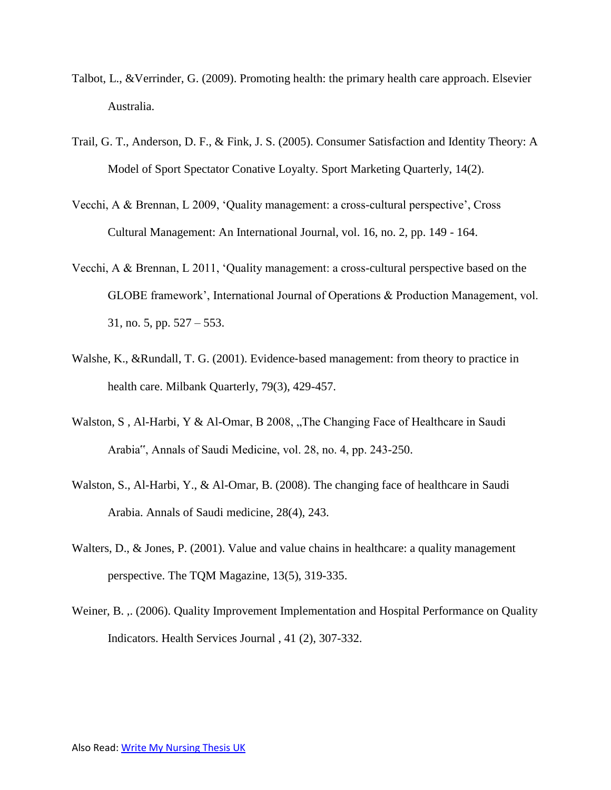- Talbot, L., &Verrinder, G. (2009). Promoting health: the primary health care approach. Elsevier Australia.
- Trail, G. T., Anderson, D. F., & Fink, J. S. (2005). Consumer Satisfaction and Identity Theory: A Model of Sport Spectator Conative Loyalty. Sport Marketing Quarterly, 14(2).
- Vecchi, A & Brennan, L 2009, 'Quality management: a cross-cultural perspective', Cross Cultural Management: An International Journal, vol. 16, no. 2, pp. 149 - 164.
- Vecchi, A & Brennan, L 2011, 'Quality management: a cross-cultural perspective based on the GLOBE framework', International Journal of Operations & Production Management, vol. 31, no. 5, pp. 527 – 553.
- Walshe, K., &Rundall, T. G. (2001). Evidence-based management: from theory to practice in health care. Milbank Quarterly, 79(3), 429-457.
- Walston, S, Al-Harbi, Y & Al-Omar, B 2008, "The Changing Face of Healthcare in Saudi Arabia", Annals of Saudi Medicine, vol. 28, no. 4, pp. 243-250.
- Walston, S., Al-Harbi, Y., & Al-Omar, B. (2008). The changing face of healthcare in Saudi Arabia. Annals of Saudi medicine, 28(4), 243.
- Walters, D., & Jones, P. (2001). Value and value chains in healthcare: a quality management perspective. The TQM Magazine, 13(5), 319-335.
- Weiner, B. .. (2006). Quality Improvement Implementation and Hospital Performance on Quality Indicators. Health Services Journal , 41 (2), 307-332.